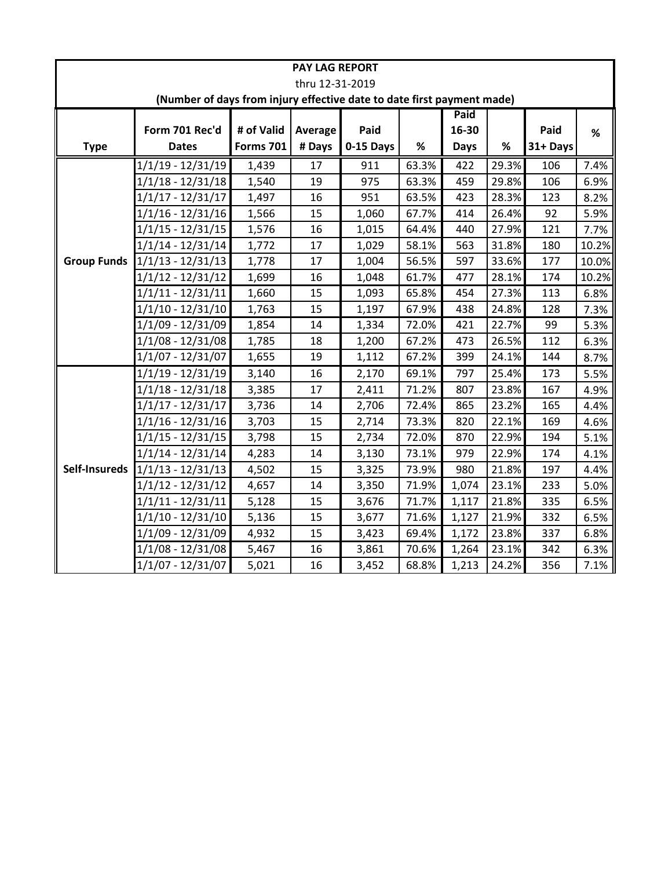| <b>PAY LAG REPORT</b>                                                  |                                 |                  |         |           |       |             |       |          |       |
|------------------------------------------------------------------------|---------------------------------|------------------|---------|-----------|-------|-------------|-------|----------|-------|
| thru 12-31-2019                                                        |                                 |                  |         |           |       |             |       |          |       |
| (Number of days from injury effective date to date first payment made) |                                 |                  |         |           |       |             |       |          |       |
|                                                                        | Paid                            |                  |         |           |       |             |       |          |       |
|                                                                        | Form 701 Rec'd                  | # of Valid       | Average | Paid      |       | 16-30       |       | Paid     | %     |
| <b>Type</b>                                                            | <b>Dates</b>                    | <b>Forms 701</b> | # Days  | 0-15 Days | %     | <b>Days</b> | $\%$  | 31+ Days |       |
|                                                                        | $1/1/19 - 12/31/19$             | 1,439            | 17      | 911       | 63.3% | 422         | 29.3% | 106      | 7.4%  |
|                                                                        | 1/1/18 - 12/31/18               | 1,540            | 19      | 975       | 63.3% | 459         | 29.8% | 106      | 6.9%  |
|                                                                        | 1/1/17 - 12/31/17               | 1,497            | 16      | 951       | 63.5% | 423         | 28.3% | 123      | 8.2%  |
|                                                                        | 1/1/16 - 12/31/16               | 1,566            | 15      | 1,060     | 67.7% | 414         | 26.4% | 92       | 5.9%  |
|                                                                        | 1/1/15 - 12/31/15               | 1,576            | 16      | 1,015     | 64.4% | 440         | 27.9% | 121      | 7.7%  |
|                                                                        | $1/1/14 - 12/31/14$             | 1,772            | 17      | 1,029     | 58.1% | 563         | 31.8% | 180      | 10.2% |
|                                                                        | Group Funds 1/1/13 - 12/31/13   | 1,778            | 17      | 1,004     | 56.5% | 597         | 33.6% | 177      | 10.0% |
|                                                                        | 1/1/12 - 12/31/12               | 1,699            | 16      | 1,048     | 61.7% | 477         | 28.1% | 174      | 10.2% |
|                                                                        | 1/1/11 - 12/31/11               | 1,660            | 15      | 1,093     | 65.8% | 454         | 27.3% | 113      | 6.8%  |
|                                                                        | 1/1/10 - 12/31/10               | 1,763            | 15      | 1,197     | 67.9% | 438         | 24.8% | 128      | 7.3%  |
|                                                                        | 1/1/09 - 12/31/09               | 1,854            | 14      | 1,334     | 72.0% | 421         | 22.7% | 99       | 5.3%  |
|                                                                        | 1/1/08 - 12/31/08               | 1,785            | 18      | 1,200     | 67.2% | 473         | 26.5% | 112      | 6.3%  |
|                                                                        | 1/1/07 - 12/31/07               | 1,655            | 19      | 1,112     | 67.2% | 399         | 24.1% | 144      | 8.7%  |
|                                                                        | 1/1/19 - 12/31/19               | 3,140            | 16      | 2,170     | 69.1% | 797         | 25.4% | 173      | 5.5%  |
|                                                                        | 1/1/18 - 12/31/18               | 3,385            | 17      | 2,411     | 71.2% | 807         | 23.8% | 167      | 4.9%  |
|                                                                        | 1/1/17 - 12/31/17               | 3,736            | 14      | 2,706     | 72.4% | 865         | 23.2% | 165      | 4.4%  |
|                                                                        | 1/1/16 - 12/31/16               | 3,703            | 15      | 2,714     | 73.3% | 820         | 22.1% | 169      | 4.6%  |
|                                                                        | 1/1/15 - 12/31/15               | 3,798            | 15      | 2,734     | 72.0% | 870         | 22.9% | 194      | 5.1%  |
|                                                                        | $1/1/14 - 12/31/14$             | 4,283            | 14      | 3,130     | 73.1% | 979         | 22.9% | 174      | 4.1%  |
|                                                                        | Self-Insureds 1/1/13 - 12/31/13 | 4,502            | 15      | 3,325     | 73.9% | 980         | 21.8% | 197      | 4.4%  |
|                                                                        | 1/1/12 - 12/31/12               | 4,657            | 14      | 3,350     | 71.9% | 1,074       | 23.1% | 233      | 5.0%  |
|                                                                        | 1/1/11 - 12/31/11               | 5,128            | 15      | 3,676     | 71.7% | 1,117       | 21.8% | 335      | 6.5%  |
|                                                                        | $1/1/10 - 12/31/10$             | 5,136            | 15      | 3,677     | 71.6% | 1,127       | 21.9% | 332      | 6.5%  |
|                                                                        | 1/1/09 - 12/31/09               | 4,932            | 15      | 3,423     | 69.4% | 1,172       | 23.8% | 337      | 6.8%  |
|                                                                        | 1/1/08 - 12/31/08               | 5,467            | 16      | 3,861     | 70.6% | 1,264       | 23.1% | 342      | 6.3%  |
|                                                                        | $1/1/07 - 12/31/07$             | 5,021            | 16      | 3,452     | 68.8% | 1,213       | 24.2% | 356      | 7.1%  |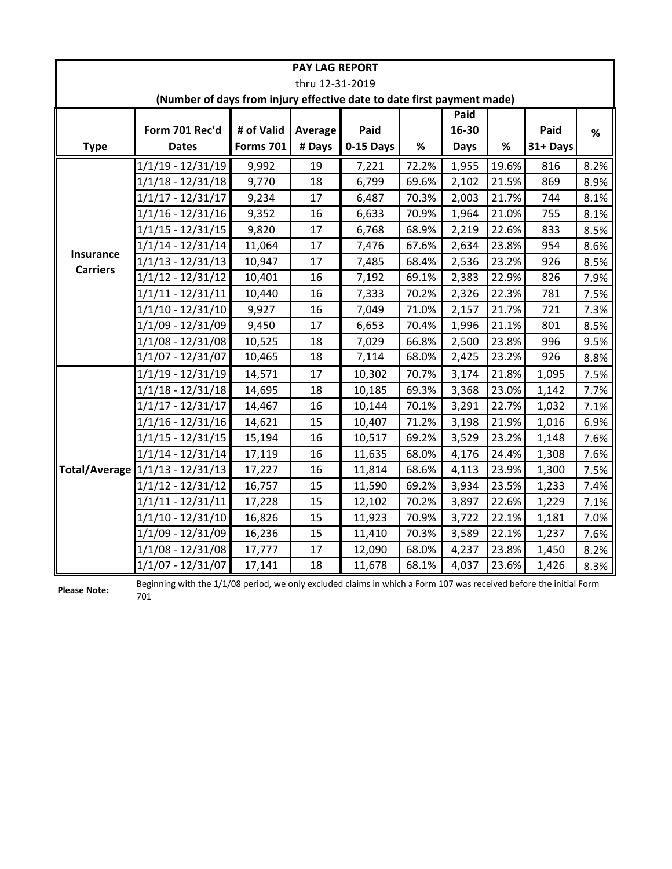| <b>PAY LAG REPORT</b>                                                  |                                                        |                  |                 |           |       |       |       |          |      |
|------------------------------------------------------------------------|--------------------------------------------------------|------------------|-----------------|-----------|-------|-------|-------|----------|------|
|                                                                        |                                                        |                  | thru 12-31-2019 |           |       |       |       |          |      |
| (Number of days from injury effective date to date first payment made) |                                                        |                  |                 |           |       |       |       |          |      |
|                                                                        | Paid                                                   |                  |                 |           |       |       |       |          |      |
|                                                                        | Form 701 Rec'd                                         | # of Valid       | Average         | Paid      |       | 16-30 |       | Paid     | %    |
| <b>Type</b>                                                            | <b>Dates</b>                                           | <b>Forms 701</b> | # Days          | 0-15 Days | %     | Days  | %     | 31+ Days |      |
|                                                                        | $1/1/19 - 12/31/19$                                    | 9,992            | 19              | 7,221     | 72.2% | 1,955 | 19.6% | 816      | 8.2% |
|                                                                        | 1/1/18 - 12/31/18                                      | 9,770            | 18              | 6,799     | 69.6% | 2,102 | 21.5% | 869      | 8.9% |
|                                                                        | $1/1/17 - 12/31/17$                                    | 9,234            | 17              | 6,487     | 70.3% | 2,003 | 21.7% | 744      | 8.1% |
|                                                                        | $1/1/16 - 12/31/16$                                    | 9,352            | 16              | 6,633     | 70.9% | 1,964 | 21.0% | 755      | 8.1% |
|                                                                        | 1/1/15 - 12/31/15                                      | 9,820            | 17              | 6,768     | 68.9% | 2,219 | 22.6% | 833      | 8.5% |
| Insurance                                                              | $1/1/14 - 12/31/14$                                    | 11,064           | 17              | 7,476     | 67.6% | 2,634 | 23.8% | 954      | 8.6% |
| <b>Carriers</b>                                                        | $\frac{1}{1}/\frac{1}{3} - \frac{12}{31}/\frac{13}{1}$ | 10,947           | 17              | 7,485     | 68.4% | 2,536 | 23.2% | 926      | 8.5% |
|                                                                        | $1/1/12 - 12/31/12$                                    | 10,401           | 16              | 7,192     | 69.1% | 2,383 | 22.9% | 826      | 7.9% |
|                                                                        | $1/1/11 - 12/31/11$                                    | 10,440           | 16              | 7,333     | 70.2% | 2,326 | 22.3% | 781      | 7.5% |
|                                                                        | $1/1/10 - 12/31/10$                                    | 9,927            | 16              | 7,049     | 71.0% | 2,157 | 21.7% | 721      | 7.3% |
|                                                                        | 1/1/09 - 12/31/09                                      | 9,450            | 17              | 6,653     | 70.4% | 1,996 | 21.1% | 801      | 8.5% |
|                                                                        | 1/1/08 - 12/31/08                                      | 10,525           | 18              | 7,029     | 66.8% | 2,500 | 23.8% | 996      | 9.5% |
|                                                                        | $1/1/07 - 12/31/07$                                    | 10,465           | 18              | 7,114     | 68.0% | 2,425 | 23.2% | 926      | 8.8% |
|                                                                        | $1/1/19 - 12/31/19$                                    | 14,571           | 17              | 10,302    | 70.7% | 3,174 | 21.8% | 1,095    | 7.5% |
|                                                                        | $1/1/18 - 12/31/18$                                    | 14,695           | 18              | 10,185    | 69.3% | 3,368 | 23.0% | 1,142    | 7.7% |
|                                                                        | $1/1/17 - 12/31/17$                                    | 14,467           | 16              | 10,144    | 70.1% | 3,291 | 22.7% | 1,032    | 7.1% |
|                                                                        | $1/1/16 - 12/31/16$                                    | 14,621           | 15              | 10,407    | 71.2% | 3,198 | 21.9% | 1,016    | 6.9% |
|                                                                        | $1/1/15 - 12/31/15$                                    | 15,194           | 16              | 10,517    | 69.2% | 3,529 | 23.2% | 1,148    | 7.6% |
|                                                                        | $1/1/14 - 12/31/14$                                    | 17,119           | 16              | 11,635    | 68.0% | 4,176 | 24.4% | 1,308    | 7.6% |
|                                                                        | Total/Average 1/1/13 - 12/31/13                        | 17,227           | 16              | 11,814    | 68.6% | 4,113 | 23.9% | 1,300    | 7.5% |
|                                                                        | $1/1/12 - 12/31/12$                                    | 16,757           | 15              | 11,590    | 69.2% | 3,934 | 23.5% | 1,233    | 7.4% |
|                                                                        | 1/1/11 - 12/31/11                                      | 17,228           | 15              | 12,102    | 70.2% | 3,897 | 22.6% | 1,229    | 7.1% |
|                                                                        | $1/1/10 - 12/31/10$                                    | 16,826           | 15              | 11,923    | 70.9% | 3,722 | 22.1% | 1,181    | 7.0% |
|                                                                        | 1/1/09 - 12/31/09                                      | 16,236           | 15              | 11,410    | 70.3% | 3,589 | 22.1% | 1,237    | 7.6% |
|                                                                        | $1/1/08 - 12/31/08$                                    | 17,777           | 17              | 12,090    | 68.0% | 4,237 | 23.8% | 1,450    | 8.2% |
|                                                                        | $1/1/07 - 12/31/07$                                    | 17,141           | 18              | 11,678    | 68.1% | 4,037 | 23.6% | 1,426    | 8.3% |

**Please Note:** Beginning with the 1/1/08 period, we only excluded claims in which a Form 107 was received before the initial Form 701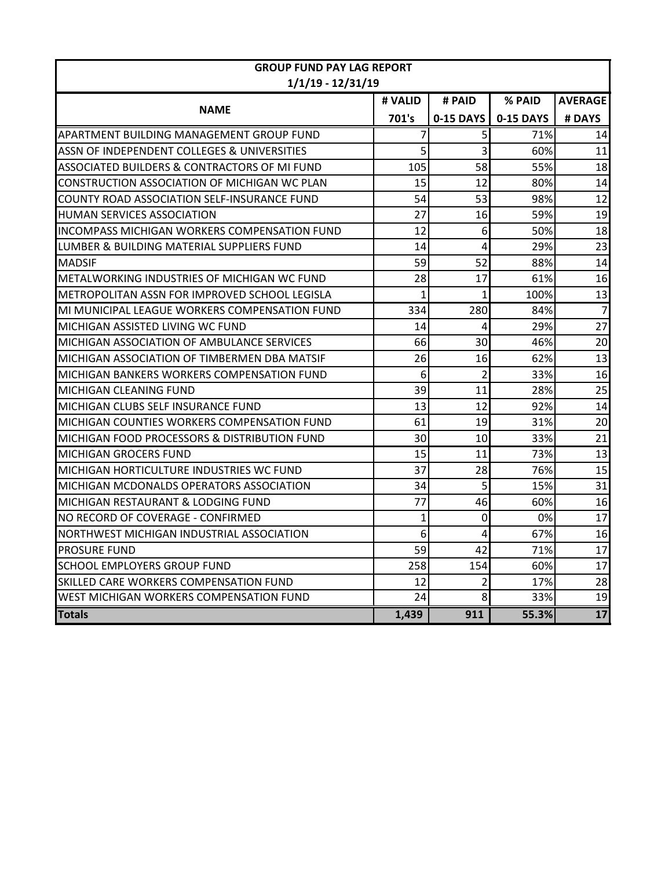| <b>GROUP FUND PAY LAG REPORT</b>                    |              |                |           |                 |  |  |  |
|-----------------------------------------------------|--------------|----------------|-----------|-----------------|--|--|--|
| $1/1/19 - 12/31/19$                                 |              |                |           |                 |  |  |  |
|                                                     | # VALID      | # PAID         | % PAID    | <b>AVERAGE</b>  |  |  |  |
| <b>NAME</b>                                         | 701's        | 0-15 DAYS      | 0-15 DAYS | # DAYS          |  |  |  |
| APARTMENT BUILDING MANAGEMENT GROUP FUND            | 7            | 5 <sup>1</sup> | 71%       | 14              |  |  |  |
| ASSN OF INDEPENDENT COLLEGES & UNIVERSITIES         | 5            | $\overline{3}$ | 60%       | 11              |  |  |  |
| ASSOCIATED BUILDERS & CONTRACTORS OF MI FUND        | 105          | 58             | 55%       | 18              |  |  |  |
| CONSTRUCTION ASSOCIATION OF MICHIGAN WC PLAN        | 15           | 12             | 80%       | 14              |  |  |  |
| COUNTY ROAD ASSOCIATION SELF-INSURANCE FUND         | 54           | 53             | 98%       | 12              |  |  |  |
| HUMAN SERVICES ASSOCIATION                          | 27           | 16             | 59%       | 19              |  |  |  |
| <b>INCOMPASS MICHIGAN WORKERS COMPENSATION FUND</b> | 12           | 6 <sup>1</sup> | 50%       | 18              |  |  |  |
| LUMBER & BUILDING MATERIAL SUPPLIERS FUND           | 14           | 4              | 29%       | 23              |  |  |  |
| <b>MADSIF</b>                                       | 59           | 52             | 88%       | 14              |  |  |  |
| METALWORKING INDUSTRIES OF MICHIGAN WC FUND         | 28           | 17             | 61%       | 16              |  |  |  |
| METROPOLITAN ASSN FOR IMPROVED SCHOOL LEGISLA       | $\mathbf{1}$ | $\mathbf{1}$   | 100%      | 13              |  |  |  |
| MI MUNICIPAL LEAGUE WORKERS COMPENSATION FUND       | 334          | 280            | 84%       | $\overline{7}$  |  |  |  |
| MICHIGAN ASSISTED LIVING WC FUND                    | 14           | 4              | 29%       | $\overline{27}$ |  |  |  |
| MICHIGAN ASSOCIATION OF AMBULANCE SERVICES          | 66           | 30             | 46%       | 20              |  |  |  |
| MICHIGAN ASSOCIATION OF TIMBERMEN DBA MATSIF        | 26           | 16             | 62%       | 13              |  |  |  |
| MICHIGAN BANKERS WORKERS COMPENSATION FUND          | 6            | $\overline{2}$ | 33%       | 16              |  |  |  |
| MICHIGAN CLEANING FUND                              | 39           | 11             | 28%       | 25              |  |  |  |
| MICHIGAN CLUBS SELF INSURANCE FUND                  | 13           | 12             | 92%       | 14              |  |  |  |
| MICHIGAN COUNTIES WORKERS COMPENSATION FUND         | 61           | 19             | 31%       | 20              |  |  |  |
| MICHIGAN FOOD PROCESSORS & DISTRIBUTION FUND        | 30           | 10             | 33%       | 21              |  |  |  |
| <b>MICHIGAN GROCERS FUND</b>                        | 15           | 11             | 73%       | 13              |  |  |  |
| MICHIGAN HORTICULTURE INDUSTRIES WC FUND            | 37           | 28             | 76%       | 15              |  |  |  |
| MICHIGAN MCDONALDS OPERATORS ASSOCIATION            | 34           | 5 <sup>1</sup> | 15%       | 31              |  |  |  |
| MICHIGAN RESTAURANT & LODGING FUND                  | 77           | 46             | 60%       | 16              |  |  |  |
| NO RECORD OF COVERAGE - CONFIRMED                   | $\mathbf{1}$ | 0              | 0%        | 17              |  |  |  |
| NORTHWEST MICHIGAN INDUSTRIAL ASSOCIATION           | 6            | 4              | 67%       | 16              |  |  |  |
| <b>PROSURE FUND</b>                                 | 59           | 42             | 71%       | 17              |  |  |  |
| SCHOOL EMPLOYERS GROUP FUND                         | 258          | 154            | 60%       | 17              |  |  |  |
| SKILLED CARE WORKERS COMPENSATION FUND              | 12           | 2              | 17%       | 28              |  |  |  |
| WEST MICHIGAN WORKERS COMPENSATION FUND             | 24           | 8              | 33%       | 19              |  |  |  |
| <b>Totals</b>                                       | 1,439        | 911            | 55.3%     | $\overline{17}$ |  |  |  |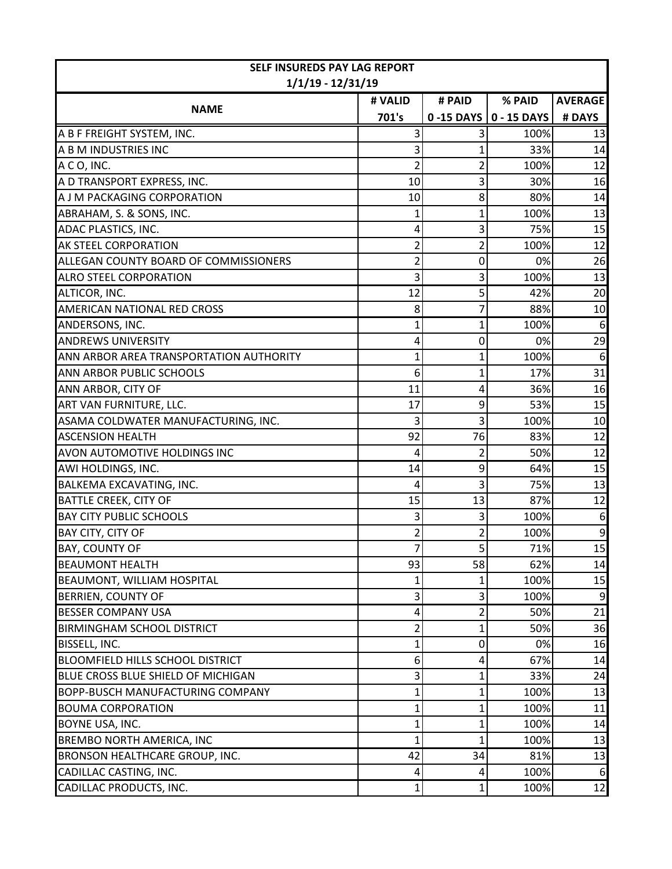| <b>SELF INSUREDS PAY LAG REPORT</b>     |         |                |             |                  |  |  |
|-----------------------------------------|---------|----------------|-------------|------------------|--|--|
| $1/1/19 - 12/31/19$                     |         |                |             |                  |  |  |
|                                         | # VALID | # PAID         | % PAID      | <b>AVERAGE</b>   |  |  |
| <b>NAME</b>                             | 701's   | 0-15 DAYS      | 0 - 15 DAYS | # DAYS           |  |  |
| A B F FREIGHT SYSTEM, INC.              |         | 3              | 100%        | 13               |  |  |
| A B M INDUSTRIES INC                    |         |                | 33%         | 14               |  |  |
| A C O, INC.                             | 2       | 2              | 100%        | 12               |  |  |
| A D TRANSPORT EXPRESS, INC.             | 10      | 3              | 30%         | 16               |  |  |
| A J M PACKAGING CORPORATION             | 10      | 8              | 80%         | 14               |  |  |
| ABRAHAM, S. & SONS, INC.                |         | 1              | 100%        | 13               |  |  |
| ADAC PLASTICS, INC.                     | 4       | 3              | 75%         | 15               |  |  |
| AK STEEL CORPORATION                    | 2       | $\overline{2}$ | 100%        | 12               |  |  |
| ALLEGAN COUNTY BOARD OF COMMISSIONERS   | 2       | 0              | 0%          | 26               |  |  |
| <b>ALRO STEEL CORPORATION</b>           | 3       | 3              | 100%        | 13               |  |  |
| ALTICOR, INC.                           | 12      | 5              | 42%         | 20               |  |  |
| AMERICAN NATIONAL RED CROSS             | 8       | 7              | 88%         | 10               |  |  |
| ANDERSONS, INC.                         | 1       | 1              | 100%        | $\boldsymbol{6}$ |  |  |
| <b>ANDREWS UNIVERSITY</b>               | 4       | 0              | 0%          | 29               |  |  |
| ANN ARBOR AREA TRANSPORTATION AUTHORITY | 1       | 1              | 100%        | 6                |  |  |
| <b>ANN ARBOR PUBLIC SCHOOLS</b>         | 6       | 1              | 17%         | 31               |  |  |
| ANN ARBOR, CITY OF                      | 11      | 4              | 36%         | 16               |  |  |
| ART VAN FURNITURE, LLC.                 | 17      | 9              | 53%         | 15               |  |  |
| ASAMA COLDWATER MANUFACTURING, INC.     | 3       | 3              | 100%        | 10               |  |  |
| <b>ASCENSION HEALTH</b>                 | 92      | 76             | 83%         | 12               |  |  |
| AVON AUTOMOTIVE HOLDINGS INC            | 4       | $\overline{2}$ | 50%         | 12               |  |  |
| AWI HOLDINGS, INC.                      | 14      | 9              | 64%         | 15               |  |  |
| <b>BALKEMA EXCAVATING, INC.</b>         | 4       | 3              | 75%         | 13               |  |  |
| <b>BATTLE CREEK, CITY OF</b>            | 15      | 13             | 87%         | 12               |  |  |
| <b>BAY CITY PUBLIC SCHOOLS</b>          | 3       | 3              | 100%        | 6                |  |  |
| BAY CITY, CITY OF                       | 2       | $\overline{c}$ | 100%        | 9                |  |  |
| <b>BAY, COUNTY OF</b>                   | 7       | $\overline{5}$ | 71%         | $\overline{15}$  |  |  |
| <b>BEAUMONT HEALTH</b>                  | 93      | 58             | 62%         | 14               |  |  |
| <b>BEAUMONT, WILLIAM HOSPITAL</b>       |         | 1              | 100%        | 15               |  |  |
| <b>BERRIEN, COUNTY OF</b>               | 3       | 3              | 100%        | 9                |  |  |
| <b>BESSER COMPANY USA</b>               | 4       | 2              | 50%         | 21               |  |  |
| <b>BIRMINGHAM SCHOOL DISTRICT</b>       | 2       | 1              | 50%         | 36               |  |  |
| BISSELL, INC.                           |         | 0              | 0%          | 16               |  |  |
| <b>BLOOMFIELD HILLS SCHOOL DISTRICT</b> | 6       | 4              | 67%         | 14               |  |  |
| BLUE CROSS BLUE SHIELD OF MICHIGAN      | 3       | 1              | 33%         | 24               |  |  |
| <b>BOPP-BUSCH MANUFACTURING COMPANY</b> | 1       | 1              | 100%        | 13               |  |  |
| <b>BOUMA CORPORATION</b>                | 1       | 1              | 100%        | 11               |  |  |
| BOYNE USA, INC.                         |         | 1              | 100%        | 14               |  |  |
| BREMBO NORTH AMERICA, INC               |         | 1              | 100%        | 13               |  |  |
| BRONSON HEALTHCARE GROUP, INC.          | 42      | 34             | 81%         | 13               |  |  |
| CADILLAC CASTING, INC.                  | 4       | 4              | 100%        | 6                |  |  |
| CADILLAC PRODUCTS, INC.                 | 1       | 1              | 100%        | 12               |  |  |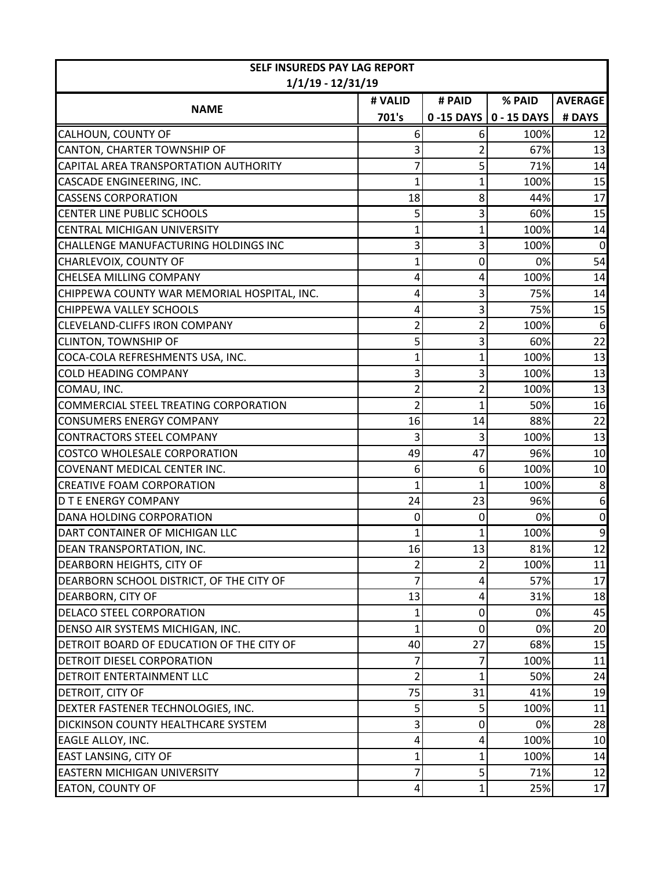| <b>SELF INSUREDS PAY LAG REPORT</b>         |              |                |                          |                  |
|---------------------------------------------|--------------|----------------|--------------------------|------------------|
| $1/1/19 - 12/31/19$                         |              |                |                          |                  |
|                                             | # VALID      | # PAID         | % PAID                   | <b>AVERAGE</b>   |
| <b>NAME</b>                                 | 701's        |                | 0 -15 DAYS   0 - 15 DAYS | # DAYS           |
| CALHOUN, COUNTY OF                          | 6            | 6              | 100%                     | 12               |
| CANTON, CHARTER TOWNSHIP OF                 |              | $\overline{2}$ | 67%                      | 13               |
| CAPITAL AREA TRANSPORTATION AUTHORITY       |              | 5              | 71%                      | 14               |
| CASCADE ENGINEERING, INC.                   | 1            | 1              | 100%                     | 15               |
| <b>CASSENS CORPORATION</b>                  | 18           | 8              | 44%                      | 17               |
| <b>CENTER LINE PUBLIC SCHOOLS</b>           | 5            | 3              | 60%                      | 15               |
| <b>CENTRAL MICHIGAN UNIVERSITY</b>          |              | 1              | 100%                     | 14               |
| CHALLENGE MANUFACTURING HOLDINGS INC        | 3            | 3              | 100%                     | $\mathbf 0$      |
| CHARLEVOIX, COUNTY OF                       | 1            | 0              | 0%                       | 54               |
| <b>CHELSEA MILLING COMPANY</b>              | 4            | 4              | 100%                     | 14               |
| CHIPPEWA COUNTY WAR MEMORIAL HOSPITAL, INC. |              | 3              | 75%                      | 14               |
| CHIPPEWA VALLEY SCHOOLS                     | 4            | 3              | 75%                      | 15               |
| <b>CLEVELAND-CLIFFS IRON COMPANY</b>        |              | $\overline{2}$ | 100%                     | $\boldsymbol{6}$ |
| <b>CLINTON, TOWNSHIP OF</b>                 | 5            | 3              | 60%                      | 22               |
| COCA-COLA REFRESHMENTS USA, INC.            | 1            | 1              | 100%                     | 13               |
| <b>COLD HEADING COMPANY</b>                 |              | 3              | 100%                     | 13               |
| COMAU, INC.                                 | 2            | 2              | 100%                     | 13               |
| COMMERCIAL STEEL TREATING CORPORATION       | 2            | 1              | 50%                      | 16               |
| <b>CONSUMERS ENERGY COMPANY</b>             | 16           | 14             | 88%                      | 22               |
| <b>CONTRACTORS STEEL COMPANY</b>            | 3            | 3              | 100%                     | 13               |
| COSTCO WHOLESALE CORPORATION                | 49           | 47             | 96%                      | 10               |
| COVENANT MEDICAL CENTER INC.                | 6            | 6              | 100%                     | 10               |
| <b>CREATIVE FOAM CORPORATION</b>            | 1            | 1              | 100%                     | 8                |
| <b>D T E ENERGY COMPANY</b>                 | 24           | 23             | 96%                      | 6                |
| DANA HOLDING CORPORATION                    | $\mathbf{0}$ | 0              | 0%                       | $\mathbf 0$      |
| DART CONTAINER OF MICHIGAN LLC              |              | 1              | 100%                     | 9                |
| DEAN TRANSPORTATION, INC.                   | 16           | 13             | 81%                      | 12               |
| DEARBORN HEIGHTS, CITY OF                   | 2            | $\overline{2}$ | 100%                     | 11               |
| DEARBORN SCHOOL DISTRICT, OF THE CITY OF    | 7            | 4              | 57%                      | 17               |
| DEARBORN, CITY OF                           | 13           | 4              | 31%                      | 18               |
| DELACO STEEL CORPORATION                    |              | 0              | 0%                       | 45               |
| DENSO AIR SYSTEMS MICHIGAN, INC.            | 1            | 0              | 0%                       | 20               |
| DETROIT BOARD OF EDUCATION OF THE CITY OF   | 40           | 27             | 68%                      | 15               |
| DETROIT DIESEL CORPORATION                  | 7            | 7              | 100%                     | 11               |
| DETROIT ENTERTAINMENT LLC                   | 2            | 1              | 50%                      | 24               |
| DETROIT, CITY OF                            | 75           | 31             | 41%                      | 19               |
| DEXTER FASTENER TECHNOLOGIES, INC.          | 5            | 5              | 100%                     | 11               |
| DICKINSON COUNTY HEALTHCARE SYSTEM          | 3            | 0              | 0%                       | 28               |
| EAGLE ALLOY, INC.                           | 4            | 4              | 100%                     | 10               |
| EAST LANSING, CITY OF                       | 1            | 1              | 100%                     | 14               |
| <b>EASTERN MICHIGAN UNIVERSITY</b>          | 7            | 5              | 71%                      | 12               |
| <b>EATON, COUNTY OF</b>                     | 4            | 1              | 25%                      | 17               |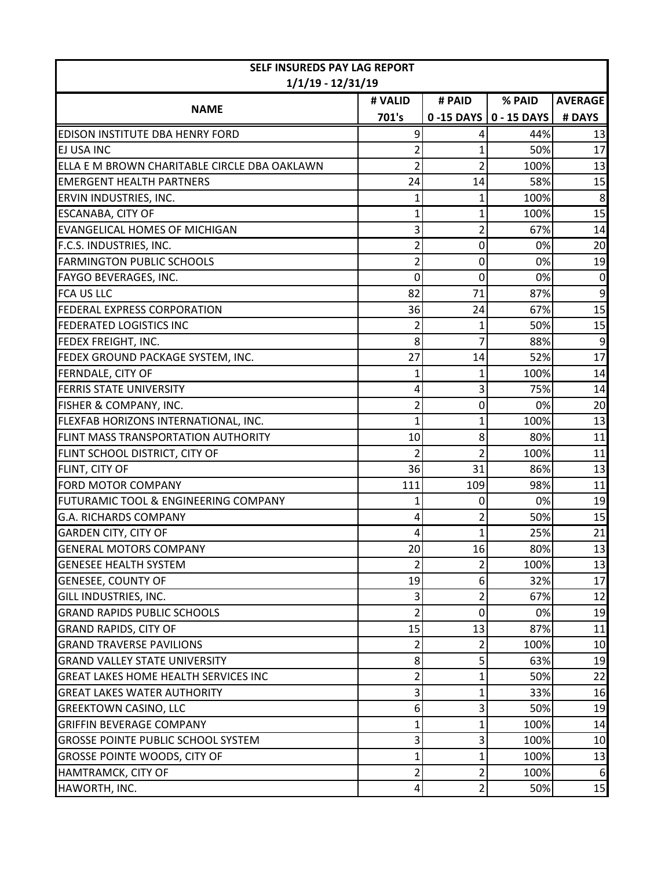| <b>SELF INSUREDS PAY LAG REPORT</b>                         |                 |                     |                                   |                |
|-------------------------------------------------------------|-----------------|---------------------|-----------------------------------|----------------|
| $1/1/19 - 12/31/19$                                         |                 |                     |                                   |                |
| <b>NAME</b>                                                 | # VALID         | # PAID              | % PAID                            | <b>AVERAGE</b> |
|                                                             | 701's           |                     | $0 - 15$ DAYS $\vert 0 - 15$ DAYS | # DAYS         |
| EDISON INSTITUTE DBA HENRY FORD                             | 9               | 4                   | 44%                               | 13             |
| EJ USA INC                                                  | 2               | 1                   | 50%                               | 17             |
| ELLA E M BROWN CHARITABLE CIRCLE DBA OAKLAWN                | 2               | $\overline{2}$      | 100%                              | 13             |
| <b>EMERGENT HEALTH PARTNERS</b><br>ERVIN INDUSTRIES, INC.   | 24              | 14                  | 58%<br>100%                       | 15<br>8        |
|                                                             | 1               | 1                   | 100%                              | 15             |
| ESCANABA, CITY OF<br><b>EVANGELICAL HOMES OF MICHIGAN</b>   |                 | 1<br>$\overline{2}$ | 67%                               | 14             |
|                                                             | 3               |                     |                                   |                |
| F.C.S. INDUSTRIES, INC.<br><b>FARMINGTON PUBLIC SCHOOLS</b> | 2               | 0                   | 0%<br>0%                          | 20<br>19       |
|                                                             | 2               | 0                   |                                   |                |
| FAYGO BEVERAGES, INC.                                       | 0               | 0                   | 0%                                | 0              |
| <b>FCA US LLC</b>                                           | 82              | 71                  | 87%                               | 9              |
| <b>FEDERAL EXPRESS CORPORATION</b>                          | 36              | 24                  | 67%                               | 15             |
| <b>FEDERATED LOGISTICS INC</b>                              | 2               | 1                   | 50%                               | 15             |
| FEDEX FREIGHT, INC.                                         | 8               | 7                   | 88%                               | 9              |
| FEDEX GROUND PACKAGE SYSTEM, INC.                           | 27              | 14                  | 52%                               | 17             |
| FERNDALE, CITY OF                                           | 1               | $\overline{1}$      | 100%                              | 14             |
| <b>FERRIS STATE UNIVERSITY</b>                              | 4               | 3                   | 75%                               | 14             |
| FISHER & COMPANY, INC.                                      | 2               | 0                   | 0%                                | 20             |
| FLEXFAB HORIZONS INTERNATIONAL, INC.                        | 1               | 1                   | 100%                              | 13             |
| FLINT MASS TRANSPORTATION AUTHORITY                         | 10              | 8                   | 80%                               | 11             |
| FLINT SCHOOL DISTRICT, CITY OF                              | 2               | $\overline{2}$      | 100%                              | 11             |
| FLINT, CITY OF                                              | 36              | 31                  | 86%                               | 13             |
| <b>FORD MOTOR COMPANY</b>                                   | 111             | 109                 | 98%                               | 11             |
| FUTURAMIC TOOL & ENGINEERING COMPANY                        | 1               | 0                   | 0%                                | 19             |
| <b>G.A. RICHARDS COMPANY</b>                                | 4               | 2                   | 50%                               | 15             |
| <b>GARDEN CITY, CITY OF</b>                                 | 4               | 1                   | 25%                               | 21             |
| <b>GENERAL MOTORS COMPANY</b>                               | 20 <sup>1</sup> | 16                  | 80%                               | 13             |
| <b>GENESEE HEALTH SYSTEM</b>                                | 2               | $\overline{2}$      | 100%                              | 13             |
| <b>GENESEE, COUNTY OF</b>                                   | 19              | 6                   | 32%                               | 17             |
| GILL INDUSTRIES, INC.                                       | 3               | 2                   | 67%                               | 12             |
| <b>GRAND RAPIDS PUBLIC SCHOOLS</b>                          |                 | 0                   | 0%                                | 19             |
| <b>GRAND RAPIDS, CITY OF</b>                                | 15              | 13                  | 87%                               | 11             |
| <b>GRAND TRAVERSE PAVILIONS</b>                             | 2               | 2                   | 100%                              | 10             |
| <b>GRAND VALLEY STATE UNIVERSITY</b>                        | 8               | 5                   | 63%                               | 19             |
| <b>GREAT LAKES HOME HEALTH SERVICES INC</b>                 | 2               | 1                   | 50%                               | 22             |
| <b>GREAT LAKES WATER AUTHORITY</b>                          | 3               | 1                   | 33%                               | 16             |
| <b>GREEKTOWN CASINO, LLC</b>                                | 6               | 3                   | 50%                               | 19             |
| <b>GRIFFIN BEVERAGE COMPANY</b>                             |                 | 1                   | 100%                              | 14             |
| <b>GROSSE POINTE PUBLIC SCHOOL SYSTEM</b>                   | 3               | 3                   | 100%                              | 10             |
| <b>GROSSE POINTE WOODS, CITY OF</b>                         | 1               | 1                   | 100%                              | 13             |
| HAMTRAMCK, CITY OF                                          | 2               | 2                   | 100%                              | 6              |
| HAWORTH, INC.                                               | 4               | $\overline{2}$      | 50%                               | 15             |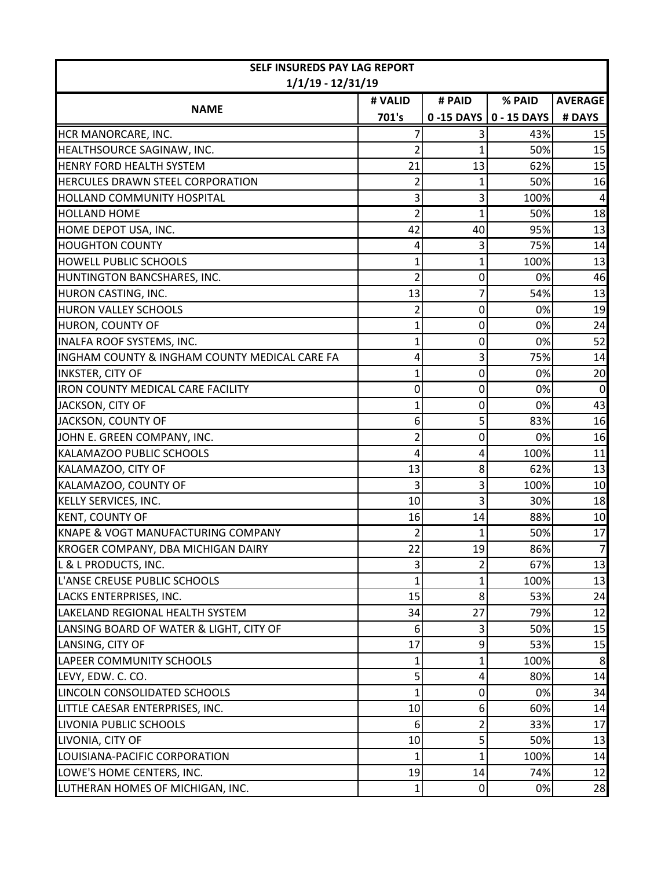| SELF INSUREDS PAY LAG REPORT                  |         |                |                          |                |  |  |
|-----------------------------------------------|---------|----------------|--------------------------|----------------|--|--|
| $1/1/19 - 12/31/19$                           |         |                |                          |                |  |  |
|                                               | # VALID | # PAID         | % PAID                   | <b>AVERAGE</b> |  |  |
| <b>NAME</b>                                   | 701's   |                | 0 -15 DAYS   0 - 15 DAYS | # DAYS         |  |  |
| HCR MANORCARE, INC.                           |         |                | 43%                      | 15             |  |  |
| HEALTHSOURCE SAGINAW, INC.                    |         | 1              | 50%                      | 15             |  |  |
| <b>HENRY FORD HEALTH SYSTEM</b>               | 21      | 13             | 62%                      | 15             |  |  |
| HERCULES DRAWN STEEL CORPORATION              | 2       | 1              | 50%                      | 16             |  |  |
| HOLLAND COMMUNITY HOSPITAL                    |         | 3              | 100%                     |                |  |  |
| <b>HOLLAND HOME</b>                           |         | 1              | 50%                      | 18             |  |  |
| HOME DEPOT USA, INC.                          | 42      | 40             | 95%                      | 13             |  |  |
| <b>HOUGHTON COUNTY</b>                        | 4       | 3              | 75%                      | 14             |  |  |
| HOWELL PUBLIC SCHOOLS                         | 1       | 1              | 100%                     | 13             |  |  |
| HUNTINGTON BANCSHARES, INC.                   | 2       | 0              | 0%                       | 46             |  |  |
| HURON CASTING, INC.                           | 13      | 7              | 54%                      | 13             |  |  |
| <b>HURON VALLEY SCHOOLS</b>                   | 2       | 0              | 0%                       | 19             |  |  |
| HURON, COUNTY OF                              | 1       | 0              | 0%                       | 24             |  |  |
| <b>INALFA ROOF SYSTEMS, INC.</b>              |         | 0              | 0%                       | 52             |  |  |
| INGHAM COUNTY & INGHAM COUNTY MEDICAL CARE FA | 4       | 3              | 75%                      | 14             |  |  |
| <b>INKSTER, CITY OF</b>                       |         | 0              | 0%                       | 20             |  |  |
| <b>IRON COUNTY MEDICAL CARE FACILITY</b>      | 0       | 0              | 0%                       | $\Omega$       |  |  |
| JACKSON, CITY OF                              |         | 0              | 0%                       | 43             |  |  |
| JACKSON, COUNTY OF                            | 6       | 5              | 83%                      | 16             |  |  |
| JOHN E. GREEN COMPANY, INC.                   | 2       | 0              | 0%                       | 16             |  |  |
| KALAMAZOO PUBLIC SCHOOLS                      |         | 4              | 100%                     | 11             |  |  |
| KALAMAZOO, CITY OF                            | 13      | 8              | 62%                      | 13             |  |  |
| KALAMAZOO, COUNTY OF                          | 3       | 3              | 100%                     | 10             |  |  |
| <b>KELLY SERVICES, INC.</b>                   | 10      | 3              | 30%                      | 18             |  |  |
| <b>KENT, COUNTY OF</b>                        | 16      | 14             | 88%                      | 10             |  |  |
| KNAPE & VOGT MANUFACTURING COMPANY            | 2       | 1              | 50%                      | 17             |  |  |
| KROGER COMPANY, DBA MICHIGAN DAIRY            | 22      | 19             | 86%                      | $\overline{7}$ |  |  |
| L & L PRODUCTS, INC.                          | 3       | $\overline{2}$ | 67%                      | 13             |  |  |
| L'ANSE CREUSE PUBLIC SCHOOLS                  | 1       | 1              | 100%                     | 13             |  |  |
| LACKS ENTERPRISES, INC.                       | 15      | 8              | 53%                      | 24             |  |  |
| LAKELAND REGIONAL HEALTH SYSTEM               | 34      | 27             | 79%                      | 12             |  |  |
| LANSING BOARD OF WATER & LIGHT, CITY OF       | 6       | 3              | 50%                      | 15             |  |  |
| LANSING, CITY OF                              | 17      | 9              | 53%                      | 15             |  |  |
| LAPEER COMMUNITY SCHOOLS                      | 1       | 1              | 100%                     | 8              |  |  |
| LEVY, EDW. C. CO.                             | 5       | 4              | 80%                      | 14             |  |  |
| LINCOLN CONSOLIDATED SCHOOLS                  | 1       | 0              | 0%                       | 34             |  |  |
| LITTLE CAESAR ENTERPRISES, INC.               | 10      | 6              | 60%                      | 14             |  |  |
| LIVONIA PUBLIC SCHOOLS                        | 6       | $\overline{2}$ | 33%                      | 17             |  |  |
| LIVONIA, CITY OF                              | 10      | 5              | 50%                      | 13             |  |  |
| LOUISIANA-PACIFIC CORPORATION                 | 1       | 1              | 100%                     | 14             |  |  |
| LOWE'S HOME CENTERS, INC.                     | 19      | 14             | 74%                      | 12             |  |  |
| LUTHERAN HOMES OF MICHIGAN, INC.              | 1       | $\overline{0}$ | 0%                       | 28             |  |  |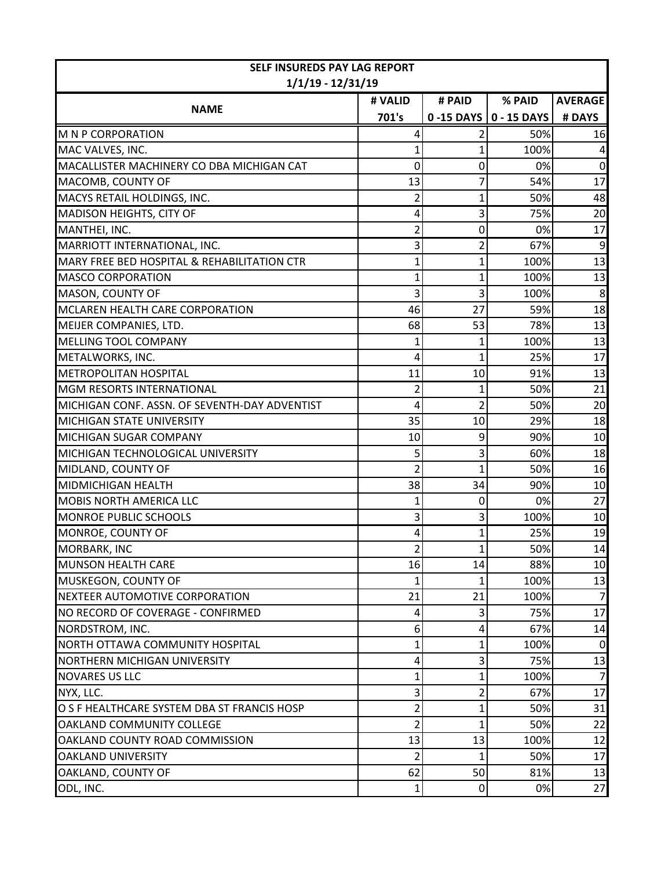| <b>SELF INSUREDS PAY LAG REPORT</b>           |         |                |                          |                |
|-----------------------------------------------|---------|----------------|--------------------------|----------------|
| $1/1/19 - 12/31/19$                           |         |                |                          |                |
|                                               | # VALID | # PAID         | % PAID                   | <b>AVERAGE</b> |
| <b>NAME</b>                                   | 701's   |                | 0 -15 DAYS   0 - 15 DAYS | # DAYS         |
| <b>M N P CORPORATION</b>                      |         |                | 50%                      | 16             |
| MAC VALVES, INC.                              |         | 1              | 100%                     |                |
| MACALLISTER MACHINERY CO DBA MICHIGAN CAT     | 0       | 0              | 0%                       | $\mathbf 0$    |
| MACOMB, COUNTY OF                             | 13      | 7              | 54%                      | 17             |
| MACYS RETAIL HOLDINGS, INC.                   | 2       | 1              | 50%                      | 48             |
| MADISON HEIGHTS, CITY OF                      | 4       | 3              | 75%                      | 20             |
| MANTHEI, INC.                                 | 2       | 0              | 0%                       | 17             |
| MARRIOTT INTERNATIONAL, INC.                  | 3       | $\overline{2}$ | 67%                      | 9              |
| MARY FREE BED HOSPITAL & REHABILITATION CTR   | 1       | $\overline{1}$ | 100%                     | 13             |
| <b>MASCO CORPORATION</b>                      |         | 1              | 100%                     | 13             |
| MASON, COUNTY OF                              | 3       | 3              | 100%                     | 8              |
| MCLAREN HEALTH CARE CORPORATION               | 46      | 27             | 59%                      | 18             |
| MEIJER COMPANIES, LTD.                        | 68      | 53             | 78%                      | 13             |
| MELLING TOOL COMPANY                          | 1       | 1              | 100%                     | 13             |
| METALWORKS, INC.                              | 4       | 1              | 25%                      | 17             |
| <b>METROPOLITAN HOSPITAL</b>                  | 11      | 10             | 91%                      | 13             |
| <b>MGM RESORTS INTERNATIONAL</b>              | 2       | 1              | 50%                      | 21             |
| MICHIGAN CONF. ASSN. OF SEVENTH-DAY ADVENTIST | 4       | $\overline{2}$ | 50%                      | 20             |
| <b>MICHIGAN STATE UNIVERSITY</b>              | 35      | 10             | 29%                      | 18             |
| MICHIGAN SUGAR COMPANY                        | 10      | 9              | 90%                      | 10             |
| MICHIGAN TECHNOLOGICAL UNIVERSITY             | 5       | 3              | 60%                      | 18             |
| MIDLAND, COUNTY OF                            | 2       | 1              | 50%                      | 16             |
| MIDMICHIGAN HEALTH                            | 38      | 34             | 90%                      | 10             |
| <b>MOBIS NORTH AMERICA LLC</b>                | 1       | 0              | 0%                       | 27             |
| <b>MONROE PUBLIC SCHOOLS</b>                  | 3       | 3              | 100%                     | 10             |
| MONROE, COUNTY OF                             | 4       | 1              | 25%                      | 19             |
| MORBARK, INC                                  |         | 1              | 50%                      | 14             |
| <b>MUNSON HEALTH CARE</b>                     | 16      | 14             | 88%                      | 10             |
| MUSKEGON, COUNTY OF                           |         |                | 100%                     | 13             |
| NEXTEER AUTOMOTIVE CORPORATION                | 21      | 21             | 100%                     | $\overline{7}$ |
| NO RECORD OF COVERAGE - CONFIRMED             | 4       | 3              | 75%                      | 17             |
| NORDSTROM, INC.                               | 6       | 4              | 67%                      | 14             |
| NORTH OTTAWA COMMUNITY HOSPITAL               |         | 1              | 100%                     | 0              |
| NORTHERN MICHIGAN UNIVERSITY                  | 4       | 3              | 75%                      | 13             |
| <b>NOVARES US LLC</b>                         | 1       | 1              | 100%                     | $\overline{7}$ |
| NYX, LLC.                                     | 3       | 2              | 67%                      | 17             |
| O S F HEALTHCARE SYSTEM DBA ST FRANCIS HOSP   | 2       | 1              | 50%                      | 31             |
| OAKLAND COMMUNITY COLLEGE                     | 2       | 1              | 50%                      | 22             |
| OAKLAND COUNTY ROAD COMMISSION                | 13      | 13             | 100%                     | 12             |
| <b>OAKLAND UNIVERSITY</b>                     | 2       |                | 50%                      | 17             |
| OAKLAND, COUNTY OF                            | 62      | 50             | 81%                      | 13             |
| ODL, INC.                                     | 1       | 0              | 0%                       | 27             |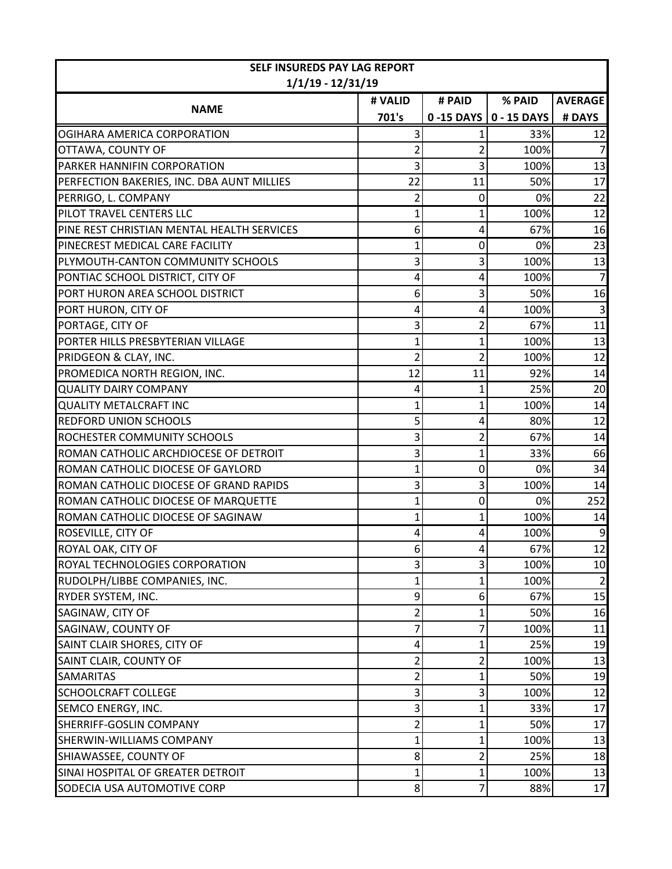| <b>SELF INSUREDS PAY LAG REPORT</b>        |                |                |                                   |                |
|--------------------------------------------|----------------|----------------|-----------------------------------|----------------|
| $1/1/19 - 12/31/19$                        |                |                |                                   |                |
| <b>NAME</b>                                | # VALID        | # PAID         | % PAID                            | <b>AVERAGE</b> |
|                                            | 701's          |                | $0 - 15$ DAYS $\vert 0 - 15$ DAYS | # DAYS         |
| OGIHARA AMERICA CORPORATION                |                |                | 33%                               | 12             |
| OTTAWA, COUNTY OF                          |                | 2              | 100%                              |                |
| PARKER HANNIFIN CORPORATION                | 3              | 3              | 100%                              | 13             |
| PERFECTION BAKERIES, INC. DBA AUNT MILLIES | 22             | 11             | 50%                               | 17             |
| PERRIGO, L. COMPANY                        | 2              | 0              | 0%                                | 22             |
| PILOT TRAVEL CENTERS LLC                   | 1              | 1              | 100%                              | 12             |
| PINE REST CHRISTIAN MENTAL HEALTH SERVICES | 6              | 4              | 67%                               | 16             |
| PINECREST MEDICAL CARE FACILITY            |                | 0              | 0%                                | 23             |
| PLYMOUTH-CANTON COMMUNITY SCHOOLS          | 3              | 3              | 100%                              | 13             |
| PONTIAC SCHOOL DISTRICT, CITY OF           | 4              | 4              | 100%                              | $\overline{7}$ |
| PORT HURON AREA SCHOOL DISTRICT            | 6              | 3              | 50%                               | 16             |
| PORT HURON, CITY OF                        | 4              | 4              | 100%                              | 3              |
| PORTAGE, CITY OF                           | 3              | 2              | 67%                               | 11             |
| PORTER HILLS PRESBYTERIAN VILLAGE          |                | 1              | 100%                              | 13             |
| PRIDGEON & CLAY, INC.                      | 2              | 2              | 100%                              | 12             |
| PROMEDICA NORTH REGION, INC.               | 12             | 11             | 92%                               | 14             |
| <b>QUALITY DAIRY COMPANY</b>               | 4              | 1              | 25%                               | 20             |
| <b>QUALITY METALCRAFT INC</b>              |                | 1              | 100%                              | 14             |
| <b>REDFORD UNION SCHOOLS</b>               | 5              | 4              | 80%                               | 12             |
| ROCHESTER COMMUNITY SCHOOLS                | 3              | 2              | 67%                               | 14             |
| ROMAN CATHOLIC ARCHDIOCESE OF DETROIT      | 3              | 1              | 33%                               | 66             |
| ROMAN CATHOLIC DIOCESE OF GAYLORD          |                | 0              | 0%                                | 34             |
| ROMAN CATHOLIC DIOCESE OF GRAND RAPIDS     | 3              | 3              | 100%                              | 14             |
| ROMAN CATHOLIC DIOCESE OF MARQUETTE        |                | 0              | 0%                                | 252            |
| ROMAN CATHOLIC DIOCESE OF SAGINAW          |                | 1              | 100%                              | 14             |
| ROSEVILLE, CITY OF                         | 4              | 4              | 100%                              | 9              |
| ROYAL OAK, CITY OF                         |                | л              | 67%                               | 12             |
| ROYAL TECHNOLOGIES CORPORATION             | 3              | $\overline{3}$ | 100%                              | 10             |
| RUDOLPH/LIBBE COMPANIES, INC.              | 1              | 1              | 100%                              | $\overline{2}$ |
| RYDER SYSTEM, INC.                         | 9              | 6              | 67%                               | 15             |
| SAGINAW, CITY OF                           | 2              |                | 50%                               | 16             |
| SAGINAW, COUNTY OF                         |                |                | 100%                              | 11             |
| SAINT CLAIR SHORES, CITY OF                | 4              | 1              | 25%                               | 19             |
| SAINT CLAIR, COUNTY OF                     | 2              | 2              | 100%                              | 13             |
| <b>SAMARITAS</b>                           | 2              | 1              | 50%                               | 19             |
| <b>SCHOOLCRAFT COLLEGE</b>                 | 3              | 3              | 100%                              | 12             |
| SEMCO ENERGY, INC.                         |                |                | 33%                               | 17             |
| SHERRIFF-GOSLIN COMPANY                    | 2              | 1              | 50%                               | 17             |
| SHERWIN-WILLIAMS COMPANY                   | 1              | 1              | 100%                              | 13             |
| SHIAWASSEE, COUNTY OF                      | 8              | 2              | 25%                               | 18             |
| SINAI HOSPITAL OF GREATER DETROIT          | 1              | 1              | 100%                              | 13             |
| SODECIA USA AUTOMOTIVE CORP                | 8 <sup>1</sup> | $\overline{7}$ | 88%                               | 17             |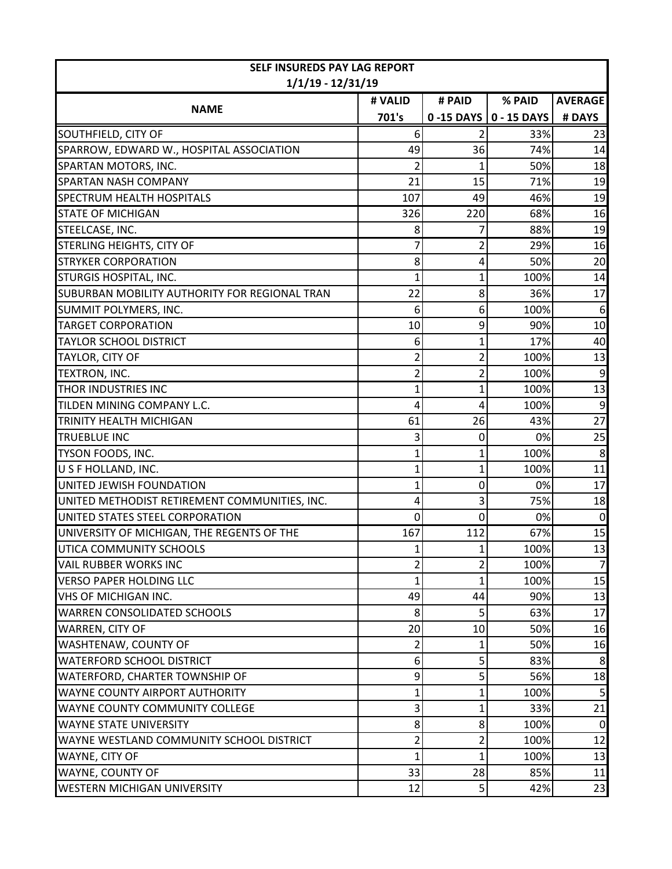| SELF INSUREDS PAY LAG REPORT                  |                |                |                                   |                 |  |  |
|-----------------------------------------------|----------------|----------------|-----------------------------------|-----------------|--|--|
| $1/1/19 - 12/31/19$                           |                |                |                                   |                 |  |  |
| <b>NAME</b>                                   | # VALID        | # PAID         | % PAID                            | <b>AVERAGE</b>  |  |  |
|                                               | 701's          |                | $0 - 15$ DAYS $\vert 0 - 15$ DAYS | # DAYS          |  |  |
| SOUTHFIELD, CITY OF                           | 6              |                | 33%                               | 23              |  |  |
| SPARROW, EDWARD W., HOSPITAL ASSOCIATION      | 49             | 36             | 74%                               | 14              |  |  |
| SPARTAN MOTORS, INC.                          | 2              | 1              | 50%                               | 18              |  |  |
| <b>SPARTAN NASH COMPANY</b>                   | 21             | 15             | 71%                               | 19              |  |  |
| <b>SPECTRUM HEALTH HOSPITALS</b>              | 107            | 49             | 46%                               | 19              |  |  |
| <b>STATE OF MICHIGAN</b>                      | 326            | 220            | 68%                               | 16              |  |  |
| STEELCASE, INC.                               | 8              |                | 88%                               | 19              |  |  |
| STERLING HEIGHTS, CITY OF                     | 7              | 2              | 29%                               | 16              |  |  |
| <b>STRYKER CORPORATION</b>                    | 8              | 4              | 50%                               | 20              |  |  |
| STURGIS HOSPITAL, INC.                        | 1              | 1              | 100%                              | 14              |  |  |
| SUBURBAN MOBILITY AUTHORITY FOR REGIONAL TRAN | 22             | 8              | 36%                               | 17              |  |  |
| SUMMIT POLYMERS, INC.                         | 6              | 6              | 100%                              | 6               |  |  |
| <b>TARGET CORPORATION</b>                     | 10             | 9              | 90%                               | 10              |  |  |
| <b>TAYLOR SCHOOL DISTRICT</b>                 | 6              | 1              | 17%                               | 40              |  |  |
| TAYLOR, CITY OF                               | 2              | $\overline{2}$ | 100%                              | 13              |  |  |
| TEXTRON, INC.                                 | 2              | $\overline{2}$ | 100%                              | 9               |  |  |
| THOR INDUSTRIES INC                           | 1              | 1              | 100%                              | 13              |  |  |
| TILDEN MINING COMPANY L.C.                    | 4              | 4              | 100%                              | 9               |  |  |
| TRINITY HEALTH MICHIGAN                       | 61             | 26             | 43%                               | $\overline{27}$ |  |  |
| <b>TRUEBLUE INC</b>                           | 3              | 0              | 0%                                | 25              |  |  |
| TYSON FOODS, INC.                             | 1              | 1              | 100%                              | 8               |  |  |
| U S F HOLLAND, INC.                           | 1              | 1              | 100%                              | 11              |  |  |
| UNITED JEWISH FOUNDATION                      | 1              | 0              | 0%                                | 17              |  |  |
| UNITED METHODIST RETIREMENT COMMUNITIES, INC. | 4              | 3              | 75%                               | 18              |  |  |
| UNITED STATES STEEL CORPORATION               | $\Omega$       | 0              | 0%                                | $\mathbf 0$     |  |  |
| UNIVERSITY OF MICHIGAN, THE REGENTS OF THE    | 167            | 112            | 67%                               | 15              |  |  |
| UTICA COMMUNITY SCHOOLS                       | 1              | $\mathbf{1}$   | 100%                              | 13              |  |  |
| <b>VAIL RUBBER WORKS INC</b>                  | $\overline{c}$ | $\overline{2}$ | 100%                              | $\overline{7}$  |  |  |
| <b>VERSO PAPER HOLDING LLC</b>                | 1              | 1              | 100%                              | 15              |  |  |
| <b>VHS OF MICHIGAN INC.</b>                   | 49             | 44             | 90%                               | 13              |  |  |
| <b>WARREN CONSOLIDATED SCHOOLS</b>            | 8              | 5              | 63%                               | 17              |  |  |
| WARREN, CITY OF                               | 20             | 10             | 50%                               | 16              |  |  |
| WASHTENAW, COUNTY OF                          | 2              | 1              | 50%                               | 16              |  |  |
| WATERFORD SCHOOL DISTRICT                     | 6              | 5              | 83%                               | 8               |  |  |
| WATERFORD, CHARTER TOWNSHIP OF                | 9              | 5              | 56%                               | 18              |  |  |
| WAYNE COUNTY AIRPORT AUTHORITY                | 1              | 1              | 100%                              | 5               |  |  |
| WAYNE COUNTY COMMUNITY COLLEGE                | 3              | 1              | 33%                               | 21              |  |  |
| WAYNE STATE UNIVERSITY                        | 8              | 8              | 100%                              | 0               |  |  |
| WAYNE WESTLAND COMMUNITY SCHOOL DISTRICT      | 2              | 2              | 100%                              | 12              |  |  |
| WAYNE, CITY OF                                | 1              | 1              | 100%                              | 13              |  |  |
| WAYNE, COUNTY OF                              | 33             | 28             | 85%                               | 11              |  |  |
| WESTERN MICHIGAN UNIVERSITY                   | 12             | 5              | 42%                               | 23              |  |  |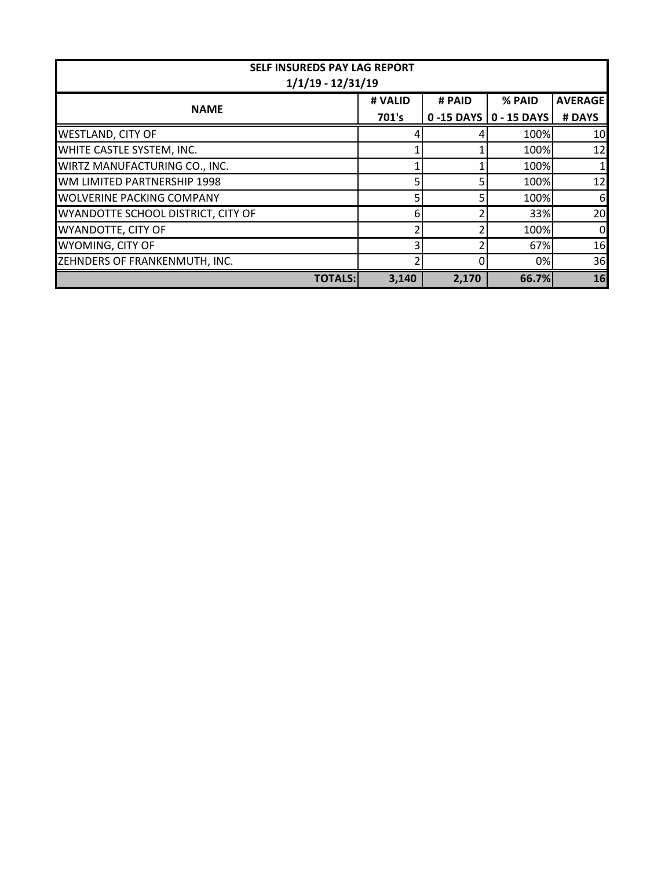| <b>SELF INSUREDS PAY LAG REPORT</b><br>$1/1/19 - 12/31/19$ |         |            |               |                |  |  |
|------------------------------------------------------------|---------|------------|---------------|----------------|--|--|
| <b>NAME</b>                                                | # VALID | # PAID     | % PAID        | <b>AVERAGE</b> |  |  |
|                                                            | 701's   | 0 -15 DAYS | $0 - 15$ DAYS | # DAYS         |  |  |
| <b>WESTLAND, CITY OF</b>                                   |         |            | 100%          | 10             |  |  |
| WHITE CASTLE SYSTEM, INC.                                  |         |            | 100%          | 12             |  |  |
| WIRTZ MANUFACTURING CO., INC.                              |         |            | 100%          |                |  |  |
| WM LIMITED PARTNERSHIP 1998                                |         |            | 100%          | 12             |  |  |
| <b>WOLVERINE PACKING COMPANY</b>                           |         |            | 100%          | 6              |  |  |
| WYANDOTTE SCHOOL DISTRICT, CITY OF                         |         |            | 33%           | 20             |  |  |
| <b>WYANDOTTE, CITY OF</b>                                  |         |            | 100%          | $\overline{0}$ |  |  |
| WYOMING, CITY OF                                           |         |            | 67%           | 16             |  |  |
| ZEHNDERS OF FRANKENMUTH, INC.                              |         |            | 0%            | 36             |  |  |
| <b>TOTALS:</b>                                             | 3,140   | 2,170      | 66.7%         | 16             |  |  |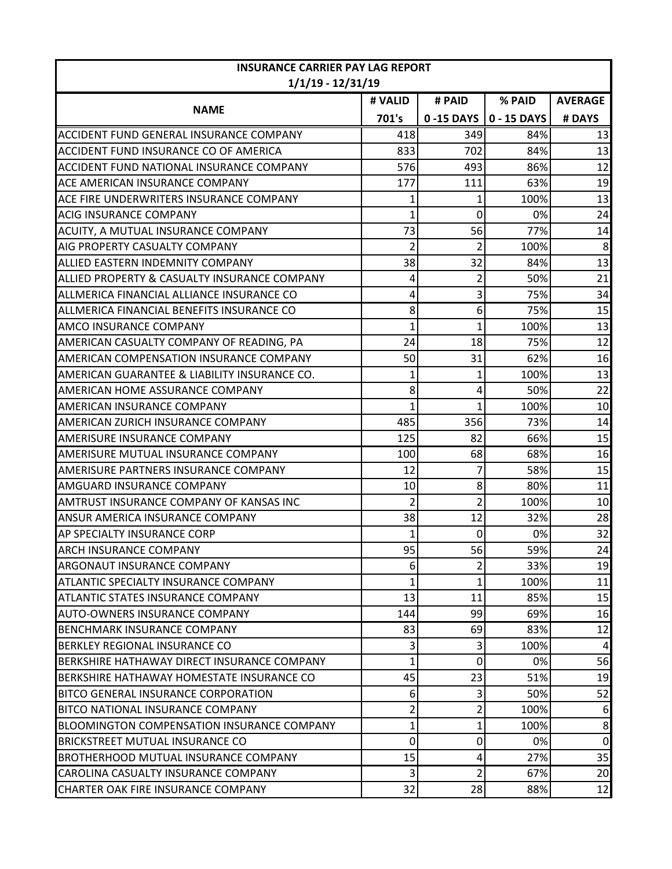| <b>INSURANCE CARRIER PAY LAG REPORT</b><br>$1/1/19 - 12/31/19$ |                |                |                         |                |  |
|----------------------------------------------------------------|----------------|----------------|-------------------------|----------------|--|
|                                                                | # VALID        | # PAID         | % PAID                  | <b>AVERAGE</b> |  |
| <b>NAME</b>                                                    | 701's          |                | 0-15 DAYS   0 - 15 DAYS | # DAYS         |  |
| ACCIDENT FUND GENERAL INSURANCE COMPANY                        | 418            | 349            | 84%                     | 13             |  |
| ACCIDENT FUND INSURANCE CO OF AMERICA                          | 833            | 702            | 84%                     | 13             |  |
| ACCIDENT FUND NATIONAL INSURANCE COMPANY                       | 576            | 493            | 86%                     | 12             |  |
| ACE AMERICAN INSURANCE COMPANY                                 | 177            | 111            | 63%                     | 19             |  |
| ACE FIRE UNDERWRITERS INSURANCE COMPANY                        |                | 1              | 100%                    | 13             |  |
| <b>ACIG INSURANCE COMPANY</b>                                  | 1              | 0              | 0%                      | 24             |  |
| ACUITY, A MUTUAL INSURANCE COMPANY                             | 73             | 56             | 77%                     | 14             |  |
| AIG PROPERTY CASUALTY COMPANY                                  | $\overline{2}$ | 2              | 100%                    | 8              |  |
| ALLIED EASTERN INDEMNITY COMPANY                               | 38             | 32             | 84%                     | 13             |  |
| ALLIED PROPERTY & CASUALTY INSURANCE COMPANY                   | 4              | 2              | 50%                     | 21             |  |
| ALLMERICA FINANCIAL ALLIANCE INSURANCE CO                      | 4              | 3              | 75%                     | 34             |  |
| ALLMERICA FINANCIAL BENEFITS INSURANCE CO                      | 8              | 6              | 75%                     | 15             |  |
| AMCO INSURANCE COMPANY                                         | 1              | 1              | 100%                    | 13             |  |
| AMERICAN CASUALTY COMPANY OF READING, PA                       | 24             | 18             | 75%                     | 12             |  |
| AMERICAN COMPENSATION INSURANCE COMPANY                        | 50             | 31             | 62%                     | 16             |  |
| AMERICAN GUARANTEE & LIABILITY INSURANCE CO.                   |                |                | 100%                    | 13             |  |
| AMERICAN HOME ASSURANCE COMPANY                                | 8              | 4              | 50%                     | 22             |  |
| AMERICAN INSURANCE COMPANY                                     | 1              |                | 100%                    | 10             |  |
| AMERICAN ZURICH INSURANCE COMPANY                              | 485            | 356            | 73%                     | 14             |  |
| AMERISURE INSURANCE COMPANY                                    | 125            | 82             | 66%                     | 15             |  |
| AMERISURE MUTUAL INSURANCE COMPANY                             | 100            | 68             | 68%                     | 16             |  |
| AMERISURE PARTNERS INSURANCE COMPANY                           | 12             | 7              | 58%                     | 15             |  |
| AMGUARD INSURANCE COMPANY                                      | 10             | 8              | 80%                     | 11             |  |
| AMTRUST INSURANCE COMPANY OF KANSAS INC                        | 2              | 2              | 100%                    | 10             |  |
| ANSUR AMERICA INSURANCE COMPANY                                | 38             | 12             | 32%                     | 28             |  |
| AP SPECIALTY INSURANCE CORP                                    | 1              | 0              | 0%                      | 32             |  |
| ARCH INSURANCE COMPANY                                         | 95<br><u>.</u> | 56             | 59%                     | 24             |  |
| ARGONAUT INSURANCE COMPANY                                     | 6              | $\overline{2}$ | 33%                     | 19             |  |
| ATLANTIC SPECIALTY INSURANCE COMPANY                           | 1              | 1              | 100%                    | 11             |  |
| ATLANTIC STATES INSURANCE COMPANY                              | 13             | 11             | 85%                     | 15             |  |
| AUTO-OWNERS INSURANCE COMPANY                                  | 144            | 99             | 69%                     | 16             |  |
| <b>BENCHMARK INSURANCE COMPANY</b>                             | 83             | 69             | 83%                     | 12             |  |
| BERKLEY REGIONAL INSURANCE CO                                  | 3              | 3              | 100%                    | 4              |  |
| BERKSHIRE HATHAWAY DIRECT INSURANCE COMPANY                    | 1              | 0              | 0%                      | 56             |  |
| BERKSHIRE HATHAWAY HOMESTATE INSURANCE CO                      | 45             | 23             | 51%                     | 19             |  |
| BITCO GENERAL INSURANCE CORPORATION                            | 6              |                | 50%                     | 52             |  |
| <b>BITCO NATIONAL INSURANCE COMPANY</b>                        | 2              | 2              | 100%                    | 6              |  |
| BLOOMINGTON COMPENSATION INSURANCE COMPANY                     | 1              |                | 100%                    | 8              |  |
| <b>BRICKSTREET MUTUAL INSURANCE CO</b>                         | 0              | 0              | 0%                      | $\overline{0}$ |  |
| <b>BROTHERHOOD MUTUAL INSURANCE COMPANY</b>                    | 15             | 4              | 27%                     | 35             |  |
| CAROLINA CASUALTY INSURANCE COMPANY                            | 3              | 2              | 67%                     | 20             |  |
| CHARTER OAK FIRE INSURANCE COMPANY                             | 32             | 28             | 88%                     | 12             |  |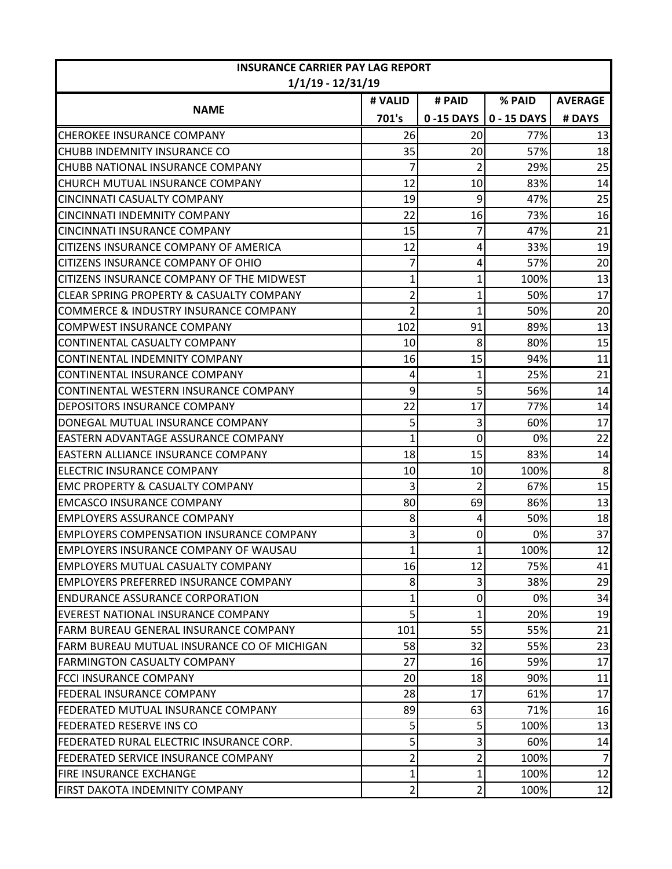| <b>INSURANCE CARRIER PAY LAG REPORT</b><br>$1/1/19 - 12/31/19$ |                |                |             |                |
|----------------------------------------------------------------|----------------|----------------|-------------|----------------|
|                                                                | # VALID        | # PAID         | % PAID      | <b>AVERAGE</b> |
| <b>NAME</b>                                                    | 701's          | 0-15 DAYS      | 0 - 15 DAYS | # DAYS         |
| <b>CHEROKEE INSURANCE COMPANY</b>                              | 26             | 20             | 77%         | 13             |
| CHUBB INDEMNITY INSURANCE CO                                   | 35             | 20             | 57%         | 18             |
| CHUBB NATIONAL INSURANCE COMPANY                               | 7              | $\overline{2}$ | 29%         | 25             |
| CHURCH MUTUAL INSURANCE COMPANY                                | 12             | 10             | 83%         | 14             |
| CINCINNATI CASUALTY COMPANY                                    | 19             | 9              | 47%         | 25             |
| CINCINNATI INDEMNITY COMPANY                                   | 22             | 16             | 73%         | 16             |
| CINCINNATI INSURANCE COMPANY                                   | 15             |                | 47%         | 21             |
| CITIZENS INSURANCE COMPANY OF AMERICA                          | 12             | 4              | 33%         | 19             |
| CITIZENS INSURANCE COMPANY OF OHIO                             |                | 4              | 57%         | 20             |
| CITIZENS INSURANCE COMPANY OF THE MIDWEST                      |                |                | 100%        | 13             |
| CLEAR SPRING PROPERTY & CASUALTY COMPANY                       | 2              |                | 50%         | 17             |
| COMMERCE & INDUSTRY INSURANCE COMPANY                          | 2              | 1              | 50%         | 20             |
| COMPWEST INSURANCE COMPANY                                     | 102            | 91             | 89%         | 13             |
| CONTINENTAL CASUALTY COMPANY                                   | 10             | 8              | 80%         | 15             |
| CONTINENTAL INDEMNITY COMPANY                                  | 16             | 15             | 94%         | 11             |
| CONTINENTAL INSURANCE COMPANY                                  | 4              | 1              | 25%         | 21             |
| CONTINENTAL WESTERN INSURANCE COMPANY                          | 9              | 5              | 56%         | 14             |
| DEPOSITORS INSURANCE COMPANY                                   | 22             | 17             | 77%         | 14             |
| DONEGAL MUTUAL INSURANCE COMPANY                               | 5              | 3              | 60%         | 17             |
| EASTERN ADVANTAGE ASSURANCE COMPANY                            |                | 0              | 0%          | 22             |
| IEASTERN ALLIANCE INSURANCE COMPANY                            | 18             | 15             | 83%         | 14             |
| ELECTRIC INSURANCE COMPANY                                     | 10             | 10             | 100%        | 8              |
| <b>EMC PROPERTY &amp; CASUALTY COMPANY</b>                     | 3              | 2              | 67%         | 15             |
| <b>EMCASCO INSURANCE COMPANY</b>                               | 80             | 69             | 86%         | 13             |
| <b>EMPLOYERS ASSURANCE COMPANY</b>                             | 8              | 4              | 50%         | 18             |
| <b>EMPLOYERS COMPENSATION INSURANCE COMPANY</b>                | 3              | 0              | 0%          | 37             |
| EMPLOYERS INSURANCE COMPANY OF WAUSAU                          |                |                | 100%        | 12             |
| IEMPLOYERS MUTUAL CASUALTY COMPANY                             | 16             | 12             | 75%         | 41             |
| <b>EMPLOYERS PREFERRED INSURANCE COMPANY</b>                   | 8              | $\overline{3}$ | 38%         | 29             |
| <b>ENDURANCE ASSURANCE CORPORATION</b>                         | 1              | 0              | 0%          | 34             |
| EVEREST NATIONAL INSURANCE COMPANY                             | 5              |                | 20%         | 19             |
| FARM BUREAU GENERAL INSURANCE COMPANY                          | 101            | 55             | 55%         | 21             |
| FARM BUREAU MUTUAL INSURANCE CO OF MICHIGAN                    | 58             | 32             | 55%         | 23             |
| <b>FARMINGTON CASUALTY COMPANY</b>                             | 27             | 16             | 59%         | 17             |
| FCCI INSURANCE COMPANY                                         | 20             | 18             | 90%         | 11             |
| FEDERAL INSURANCE COMPANY                                      | 28             | 17             | 61%         | 17             |
| IFEDERATED MUTUAL INSURANCE COMPANY                            | 89             | 63             | 71%         | 16             |
| <b>FEDERATED RESERVE INS CO</b>                                | 5              | 5              | 100%        | 13             |
| FEDERATED RURAL ELECTRIC INSURANCE CORP.                       | 5              | 3              | 60%         | 14             |
| FEDERATED SERVICE INSURANCE COMPANY                            | 2              | 2              | 100%        | $\overline{7}$ |
| FIRE INSURANCE EXCHANGE                                        | 1              |                | 100%        | 12             |
| FIRST DAKOTA INDEMNITY COMPANY                                 | $\overline{2}$ | 2              | 100%        | 12             |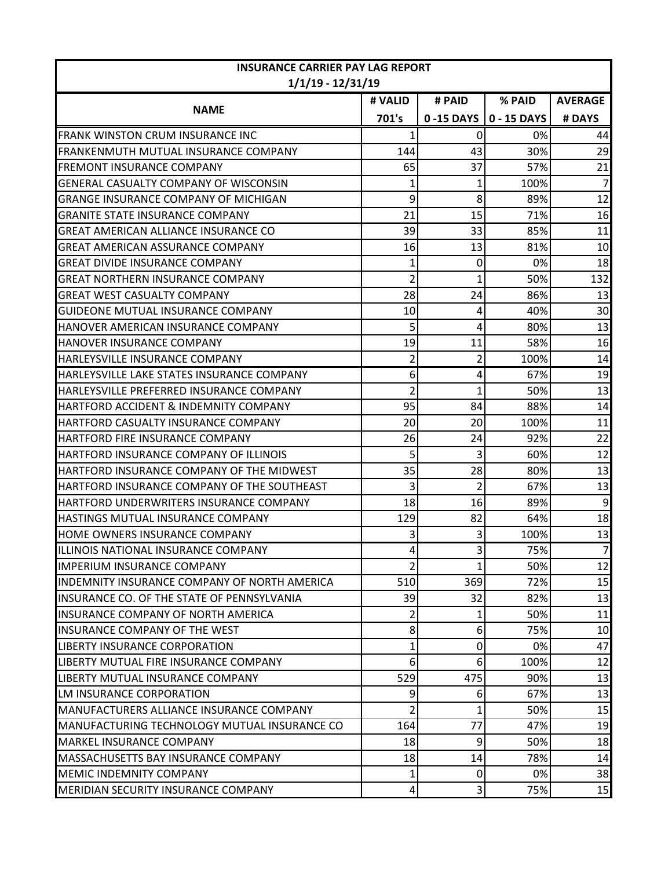| <b>INSURANCE CARRIER PAY LAG REPORT</b><br>$1/1/19 - 12/31/19$ |                         |                |             |                |
|----------------------------------------------------------------|-------------------------|----------------|-------------|----------------|
|                                                                | # VALID                 | # PAID         | % PAID      | <b>AVERAGE</b> |
| <b>NAME</b>                                                    | 701's                   | 0-15 DAYS      | 0 - 15 DAYS | # DAYS         |
| <b>FRANK WINSTON CRUM INSURANCE INC</b>                        |                         | 0              | 0%          | 44             |
| FRANKENMUTH MUTUAL INSURANCE COMPANY                           | 144                     | 43             | 30%         | 29             |
| <b>FREMONT INSURANCE COMPANY</b>                               | 65                      | 37             | 57%         | 21             |
| GENERAL CASUALTY COMPANY OF WISCONSIN                          |                         | 1              | 100%        | $\overline{7}$ |
| <b>GRANGE INSURANCE COMPANY OF MICHIGAN</b>                    | 9                       | 8              | 89%         | 12             |
| <b>GRANITE STATE INSURANCE COMPANY</b>                         | 21                      | 15             | 71%         | 16             |
| <b>GREAT AMERICAN ALLIANCE INSURANCE CO</b>                    | 39                      | 33             | 85%         | 11             |
| <b>GREAT AMERICAN ASSURANCE COMPANY</b>                        | 16                      | 13             | 81%         | 10             |
| <b>GREAT DIVIDE INSURANCE COMPANY</b>                          | 1                       | 0              | 0%          | 18             |
| <b>GREAT NORTHERN INSURANCE COMPANY</b>                        | $\overline{2}$          | 1              | 50%         | 132            |
| <b>GREAT WEST CASUALTY COMPANY</b>                             | 28                      | 24             | 86%         | 13             |
| GUIDEONE MUTUAL INSURANCE COMPANY                              | 10                      | 4              | 40%         | 30             |
| HANOVER AMERICAN INSURANCE COMPANY                             | 5                       | 4              | 80%         | 13             |
| HANOVER INSURANCE COMPANY                                      | 19                      | 11             | 58%         | 16             |
| HARLEYSVILLE INSURANCE COMPANY                                 | $\overline{2}$          | 2              | 100%        | 14             |
| HARLEYSVILLE LAKE STATES INSURANCE COMPANY                     | 6                       | 4              | 67%         | 19             |
| HARLEYSVILLE PREFERRED INSURANCE COMPANY                       | $\overline{\mathbf{c}}$ | 1              | 50%         | 13             |
| HARTFORD ACCIDENT & INDEMNITY COMPANY                          | 95                      | 84             | 88%         | 14             |
| HARTFORD CASUALTY INSURANCE COMPANY                            | 20                      | 20             | 100%        | 11             |
| HARTFORD FIRE INSURANCE COMPANY                                | 26                      | 24             | 92%         | 22             |
| HARTFORD INSURANCE COMPANY OF ILLINOIS                         | 5                       | 3              | 60%         | 12             |
| HARTFORD INSURANCE COMPANY OF THE MIDWEST                      | 35                      | 28             | 80%         | 13             |
| HARTFORD INSURANCE COMPANY OF THE SOUTHEAST                    | 3                       | $\overline{2}$ | 67%         | 13             |
| HARTFORD UNDERWRITERS INSURANCE COMPANY                        | 18                      | 16             | 89%         | 9              |
| HASTINGS MUTUAL INSURANCE COMPANY                              | 129                     | 82             | 64%         | 18             |
| HOME OWNERS INSURANCE COMPANY                                  | 3                       | 3              | 100%        | 13             |
| ILLINOIS NATIONAL INSURANCE COMPANY                            |                         | C.<br>د        | 75%         | $\overline{7}$ |
| <b>IMPERIUM INSURANCE COMPANY</b>                              | $\overline{2}$          |                | 50%         | 12             |
| <b>INDEMNITY INSURANCE COMPANY OF NORTH AMERICA</b>            | 510                     | 369            | 72%         | 15             |
| INSURANCE CO. OF THE STATE OF PENNSYLVANIA                     | 39                      | 32             | 82%         | 13             |
| <b>INSURANCE COMPANY OF NORTH AMERICA</b>                      | $\overline{2}$          |                | 50%         | 11             |
| <b>INSURANCE COMPANY OF THE WEST</b>                           | 8 <sup>1</sup>          | 6              | 75%         | 10             |
| LIBERTY INSURANCE CORPORATION                                  | 1                       | 0              | 0%          | 47             |
| LIBERTY MUTUAL FIRE INSURANCE COMPANY                          | 6                       | 6              | 100%        | 12             |
| LIBERTY MUTUAL INSURANCE COMPANY                               | 529                     | 475            | 90%         | 13             |
| LM INSURANCE CORPORATION                                       | 9                       | 6              | 67%         | 13             |
| MANUFACTURERS ALLIANCE INSURANCE COMPANY                       | $\overline{\mathbf{c}}$ |                | 50%         | 15             |
| MANUFACTURING TECHNOLOGY MUTUAL INSURANCE CO                   | 164                     | 77             | 47%         | 19             |
| <b>MARKEL INSURANCE COMPANY</b>                                | 18                      | 9              | 50%         | 18             |
| MASSACHUSETTS BAY INSURANCE COMPANY                            | 18                      | 14             | 78%         | 14             |
| <b>MEMIC INDEMNITY COMPANY</b>                                 | 1                       | 0              | 0%          | 38             |
| MERIDIAN SECURITY INSURANCE COMPANY                            | 4                       | 3              | 75%         | 15             |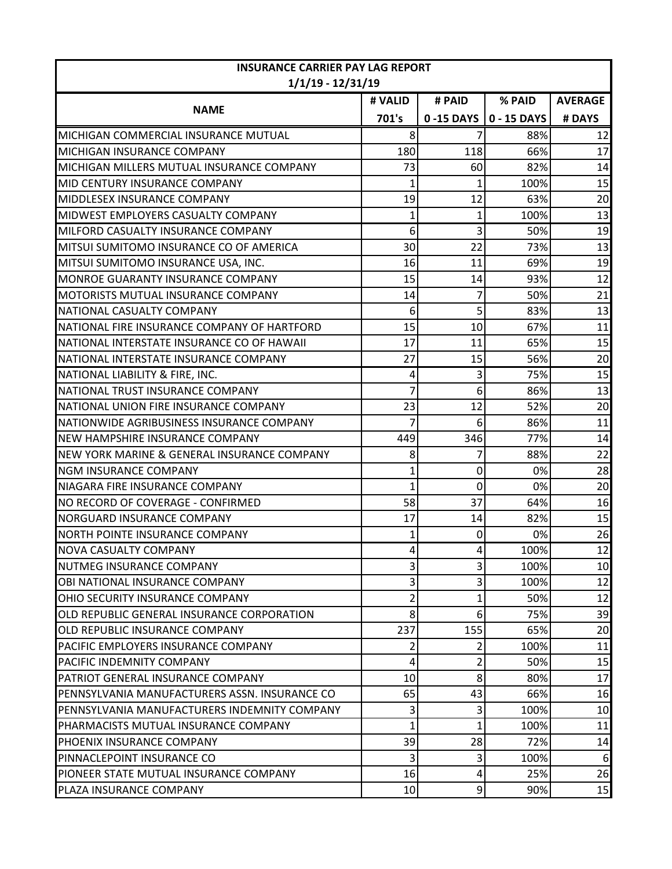| <b>INSURANCE CARRIER PAY LAG REPORT</b><br>$1/1/19 - 12/31/19$ |         |             |                             |                |
|----------------------------------------------------------------|---------|-------------|-----------------------------|----------------|
|                                                                | # VALID | # PAID      | % PAID                      | <b>AVERAGE</b> |
| <b>NAME</b>                                                    | 701's   |             | $0 - 15$ DAYS   0 - 15 DAYS | # DAYS         |
| MICHIGAN COMMERCIAL INSURANCE MUTUAL                           | 8       |             | 88%                         | 12             |
| MICHIGAN INSURANCE COMPANY                                     | 180     | 118         | 66%                         | 17             |
| MICHIGAN MILLERS MUTUAL INSURANCE COMPANY                      | 73      | 60          | 82%                         | 14             |
| MID CENTURY INSURANCE COMPANY                                  |         |             | 100%                        | 15             |
| MIDDLESEX INSURANCE COMPANY                                    | 19      | 12          | 63%                         | 20             |
| MIDWEST EMPLOYERS CASUALTY COMPANY                             |         |             | 100%                        | 13             |
| MILFORD CASUALTY INSURANCE COMPANY                             | 6       | 3           | 50%                         | 19             |
| MITSUI SUMITOMO INSURANCE CO OF AMERICA                        | 30      | 22          | 73%                         | 13             |
| MITSUI SUMITOMO INSURANCE USA, INC.                            | 16      | 11          | 69%                         | 19             |
| MONROE GUARANTY INSURANCE COMPANY                              | 15      | 14          | 93%                         | 12             |
| MOTORISTS MUTUAL INSURANCE COMPANY                             | 14      | 7           | 50%                         | 21             |
| NATIONAL CASUALTY COMPANY                                      | 6       | 5           | 83%                         | 13             |
| NATIONAL FIRE INSURANCE COMPANY OF HARTFORD                    | 15      | 10          | 67%                         | 11             |
| NATIONAL INTERSTATE INSURANCE CO OF HAWAII                     | 17      | 11          | 65%                         | 15             |
| NATIONAL INTERSTATE INSURANCE COMPANY                          | 27      | 15          | 56%                         | 20             |
| NATIONAL LIABILITY & FIRE, INC.                                | 4       | 3           | 75%                         | 15             |
| NATIONAL TRUST INSURANCE COMPANY                               | 7       | 6           | 86%                         | 13             |
| NATIONAL UNION FIRE INSURANCE COMPANY                          | 23      | 12          | 52%                         | 20             |
| NATIONWIDE AGRIBUSINESS INSURANCE COMPANY                      | 7       | 6           | 86%                         | 11             |
| <b>NEW HAMPSHIRE INSURANCE COMPANY</b>                         | 449     | 346         | 77%                         | 14             |
| NEW YORK MARINE & GENERAL INSURANCE COMPANY                    | 8       | 7           | 88%                         | 22             |
| <b>NGM INSURANCE COMPANY</b>                                   | 1       | 0           | 0%                          | 28             |
| NIAGARA FIRE INSURANCE COMPANY                                 | 1       | $\mathbf 0$ | 0%                          | 20             |
| NO RECORD OF COVERAGE - CONFIRMED                              | 58      | 37          | 64%                         | 16             |
| NORGUARD INSURANCE COMPANY                                     | 17      | 14          | 82%                         | 15             |
| NORTH POINTE INSURANCE COMPANY                                 |         | 0           | 0%                          | 26             |
| NOVA CASUALTY COMPANY                                          |         |             | 100%                        | 12             |
| NUTMEG INSURANCE COMPANY                                       | 3       | 3           | 100%                        | 10             |
| OBI NATIONAL INSURANCE COMPANY                                 | 3       | 3           | 100%                        | 12             |
| IOHIO SECURITY INSURANCE COMPANY                               | 2       |             | 50%                         | 12             |
| OLD REPUBLIC GENERAL INSURANCE CORPORATION                     | 8       | 6           | 75%                         | 39             |
| OLD REPUBLIC INSURANCE COMPANY                                 | 237     | 155         | 65%                         | 20             |
| PACIFIC EMPLOYERS INSURANCE COMPANY                            | 2       | 2           | 100%                        | 11             |
| PACIFIC INDEMNITY COMPANY                                      | 4       | 2           | 50%                         | 15             |
| PATRIOT GENERAL INSURANCE COMPANY                              | 10      | 8           | 80%                         | 17             |
| PENNSYLVANIA MANUFACTURERS ASSN. INSURANCE CO                  | 65      | 43          | 66%                         | 16             |
| IPENNSYLVANIA MANUFACTURERS INDEMNITY COMPANY                  | 3       | 3           | 100%                        | 10             |
| PHARMACISTS MUTUAL INSURANCE COMPANY                           | 1       | 1           | 100%                        | 11             |
| PHOENIX INSURANCE COMPANY                                      | 39      | 28          | 72%                         | 14             |
| PINNACLEPOINT INSURANCE CO                                     | 3       | 3           | 100%                        | 6              |
| PIONEER STATE MUTUAL INSURANCE COMPANY                         | 16      | 4           | 25%                         | 26             |
| PLAZA INSURANCE COMPANY                                        | 10      | 9           | 90%                         | 15             |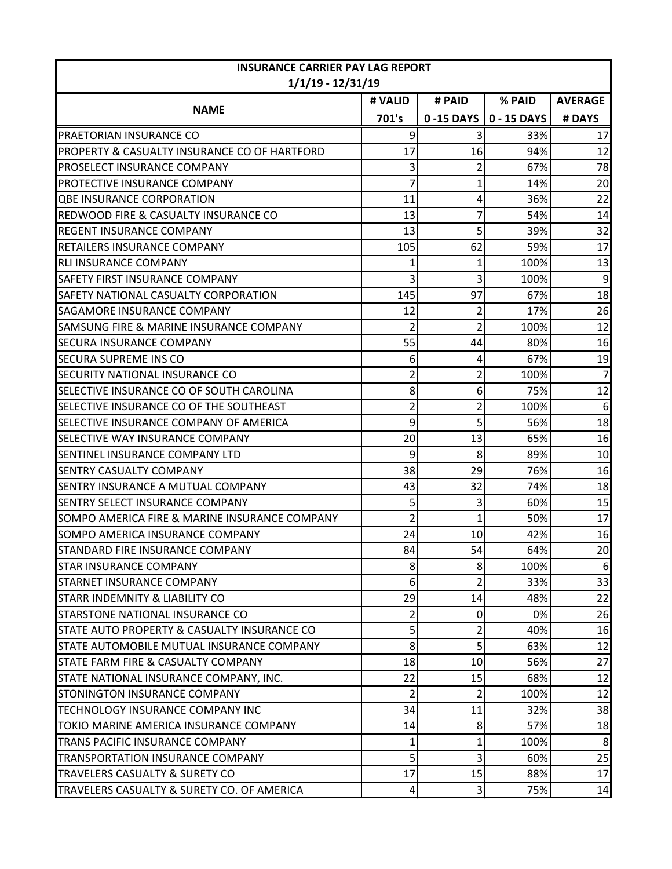| <b>INSURANCE CARRIER PAY LAG REPORT</b><br>$1/1/19 - 12/31/19$ |                |                |             |                |
|----------------------------------------------------------------|----------------|----------------|-------------|----------------|
|                                                                | # VALID        | # PAID         | % PAID      | <b>AVERAGE</b> |
| <b>NAME</b>                                                    | 701's          | 0-15 DAYS      | 0 - 15 DAYS | # DAYS         |
| PRAETORIAN INSURANCE CO                                        | 9              | 3              | 33%         | 17             |
| PROPERTY & CASUALTY INSURANCE CO OF HARTFORD                   | 17             | 16             | 94%         | 12             |
| PROSELECT INSURANCE COMPANY                                    | 3              | 2              | 67%         | 78             |
| PROTECTIVE INSURANCE COMPANY                                   | 7              | 1              | 14%         | 20             |
| <b>QBE INSURANCE CORPORATION</b>                               | 11             | 4              | 36%         | 22             |
| <b>REDWOOD FIRE &amp; CASUALTY INSURANCE CO</b>                | 13             | 7              | 54%         | 14             |
| <b>REGENT INSURANCE COMPANY</b>                                | 13             | 5              | 39%         | 32             |
| RETAILERS INSURANCE COMPANY                                    | 105            | 62             | 59%         | 17             |
| RLI INSURANCE COMPANY                                          | 1              | 1              | 100%        | 13             |
| <b>SAFETY FIRST INSURANCE COMPANY</b>                          | 3              | 3              | 100%        | 9              |
| SAFETY NATIONAL CASUALTY CORPORATION                           | 145            | 97             | 67%         | 18             |
| SAGAMORE INSURANCE COMPANY                                     | 12             | 2              | 17%         | 26             |
| SAMSUNG FIRE & MARINE INSURANCE COMPANY                        | 2              | 2              | 100%        | 12             |
| SECURA INSURANCE COMPANY                                       | 55             | 44             | 80%         | 16             |
| <b>SECURA SUPREME INS CO</b>                                   | 6              | 4              | 67%         | 19             |
| SECURITY NATIONAL INSURANCE CO                                 | 2              | $\overline{2}$ | 100%        | $\overline{7}$ |
| SELECTIVE INSURANCE CO OF SOUTH CAROLINA                       | 8              | 6              | 75%         | 12             |
| SELECTIVE INSURANCE CO OF THE SOUTHEAST                        | $\overline{c}$ | 2              | 100%        | 6              |
| SELECTIVE INSURANCE COMPANY OF AMERICA                         | 9              | 5              | 56%         | 18             |
| SELECTIVE WAY INSURANCE COMPANY                                | 20             | 13             | 65%         | 16             |
| SENTINEL INSURANCE COMPANY LTD                                 | 9              | 8              | 89%         | 10             |
| <b>SENTRY CASUALTY COMPANY</b>                                 | 38             | 29             | 76%         | 16             |
| SENTRY INSURANCE A MUTUAL COMPANY                              | 43             | 32             | 74%         | 18             |
| SENTRY SELECT INSURANCE COMPANY                                | 5              | 3              | 60%         | 15             |
| SOMPO AMERICA FIRE & MARINE INSURANCE COMPANY                  | $\overline{2}$ | 1              | 50%         | 17             |
| SOMPO AMERICA INSURANCE COMPANY                                | 24             | 10             | 42%         | 16             |
| STANDARD FIRE INSURANCE COMPANY                                | 84             | 54             | 64%         | 20             |
| <b>STAR INSURANCE COMPANY</b>                                  | 8              | 8              | 100%        | 6              |
| STARNET INSURANCE COMPANY                                      | 6              | 2              | 33%         | 33             |
| <b>STARR INDEMNITY &amp; LIABILITY CO</b>                      | 29             | 14             | 48%         | 22             |
| STARSTONE NATIONAL INSURANCE CO                                | 2              | 0              | 0%          | 26             |
| STATE AUTO PROPERTY & CASUALTY INSURANCE CO                    | 5              | 2              | 40%         | 16             |
| STATE AUTOMOBILE MUTUAL INSURANCE COMPANY                      | 8              | 5              | 63%         | 12             |
| <b>STATE FARM FIRE &amp; CASUALTY COMPANY</b>                  | 18             | 10             | 56%         | 27             |
| STATE NATIONAL INSURANCE COMPANY, INC.                         | 22             | 15             | 68%         | 12             |
| STONINGTON INSURANCE COMPANY                                   | 2              | 2              | 100%        | 12             |
| TECHNOLOGY INSURANCE COMPANY INC                               | 34             | 11             | 32%         | 38             |
| TOKIO MARINE AMERICA INSURANCE COMPANY                         | 14             | 8              | 57%         | 18             |
| TRANS PACIFIC INSURANCE COMPANY                                |                |                | 100%        | 8              |
| TRANSPORTATION INSURANCE COMPANY                               | 5              | 3              | 60%         | 25             |
| TRAVELERS CASUALTY & SURETY CO                                 | 17             | 15             | 88%         | 17             |
| TRAVELERS CASUALTY & SURETY CO. OF AMERICA                     | 4              | 3              | 75%         | 14             |